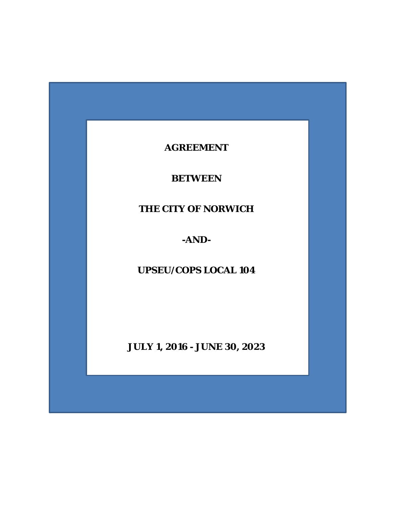# **AGREEMENT**

# **BETWEEN**

# **THE CITY OF NORWICH**

# **-AND-**

# **UPSEU/COPS LOCAL 104**

**JULY 1, 2016 - JUNE 30, 2023**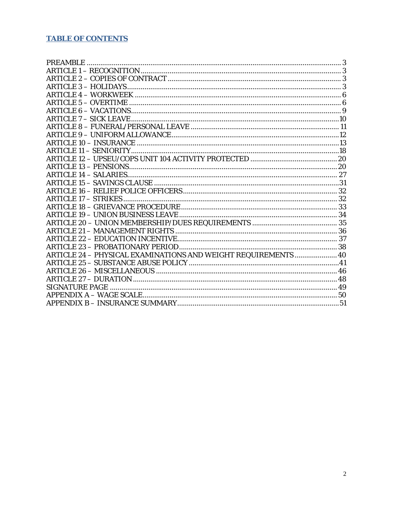# **TABLE OF CONTENTS**

| ARTICLE 24 - PHYSICAL EXAMINATIONS AND WEIGHT REQUIREMENTS  40 |  |
|----------------------------------------------------------------|--|
|                                                                |  |
|                                                                |  |
|                                                                |  |
|                                                                |  |
|                                                                |  |
|                                                                |  |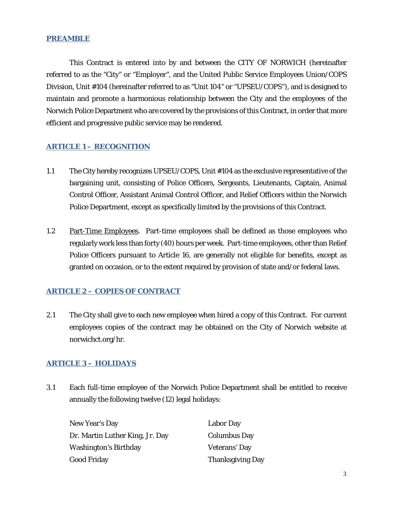#### <span id="page-2-0"></span>**PREAMBLE**

This Contract is entered into by and between the CITY OF NORWICH (hereinafter referred to as the "City" or "Employer", and the United Public Service Employees Union/COPS Division, Unit #104 (hereinafter referred to as "Unit 104" or "UPSEU/COPS"), and is designed to maintain and promote a harmonious relationship between the City and the employees of the Norwich Police Department who are covered by the provisions of this Contract, in order that more efficient and progressive public service may be rendered.

# <span id="page-2-1"></span>**ARTICLE 1 – RECOGNITION**

- 1.1 The City hereby recognizes UPSEU/COPS, Unit #104 as the exclusive representative of the bargaining unit, consisting of Police Officers, Sergeants, Lieutenants, Captain, Animal Control Officer, Assistant Animal Control Officer, and Relief Officers within the Norwich Police Department, except as specifically limited by the provisions of this Contract.
- 1.2 Part-Time Employees. Part-time employees shall be defined as those employees who regularly work less than forty (40) hours per week. Part-time employees, other than Relief Police Officers pursuant to Article 16, are generally not eligible for benefits, except as granted on occasion, or to the extent required by provision of state and/or federal laws.

# <span id="page-2-2"></span>**ARTICLE 2 – COPIES OF CONTRACT**

2.1 The City shall give to each new employee when hired a copy of this Contract. For current employees copies of the contract may be obtained on the City of Norwich website at norwichct.org/hr.

# <span id="page-2-3"></span>**ARTICLE 3 – HOLIDAYS**

3.1 Each full-time employee of the Norwich Police Department shall be entitled to receive annually the following twelve (12) legal holidays:

| New Year's Day                  | <b>Labor Day</b>        |
|---------------------------------|-------------------------|
| Dr. Martin Luther King, Jr. Day | <b>Columbus Day</b>     |
| Washington's Birthday           | Veterans' Day           |
| Good Friday                     | <b>Thanksgiving Day</b> |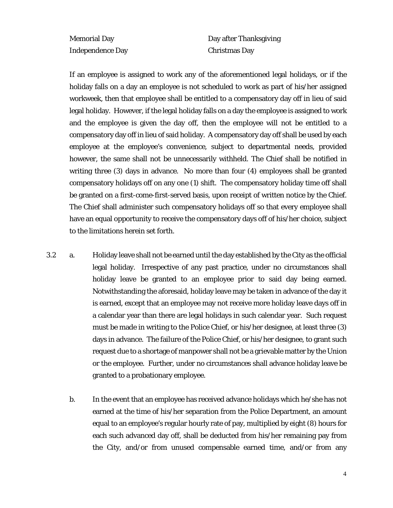Independence Day Christmas Day

Memorial Day **Day after Thanksgiving** 

If an employee is assigned to work any of the aforementioned legal holidays, or if the holiday falls on a day an employee is not scheduled to work as part of his/her assigned workweek, then that employee shall be entitled to a compensatory day off in lieu of said legal holiday. However, if the legal holiday falls on a day the employee is assigned to work and the employee is given the day off, then the employee will not be entitled to a compensatory day off in lieu of said holiday. A compensatory day off shall be used by each employee at the employee's convenience, subject to departmental needs, provided however, the same shall not be unnecessarily withheld. The Chief shall be notified in writing three (3) days in advance. No more than four (4) employees shall be granted compensatory holidays off on any one (1) shift. The compensatory holiday time off shall be granted on a first-come-first-served basis, upon receipt of written notice by the Chief. The Chief shall administer such compensatory holidays off so that every employee shall have an equal opportunity to receive the compensatory days off of his/her choice, subject to the limitations herein set forth.

- 3.2 a. Holiday leave shall not be earned until the day established by the City as the official legal holiday. Irrespective of any past practice, under no circumstances shall holiday leave be granted to an employee prior to said day being earned. Notwithstanding the aforesaid, holiday leave may be taken in advance of the day it is earned, except that an employee may not receive more holiday leave days off in a calendar year than there are legal holidays in such calendar year. Such request must be made in writing to the Police Chief, or his/her designee, at least three (3) days in advance. The failure of the Police Chief, or his/her designee, to grant such request due to a shortage of manpower shall not be a grievable matter by the Union or the employee. Further, under no circumstances shall advance holiday leave be granted to a probationary employee.
	- b. In the event that an employee has received advance holidays which he/she has not earned at the time of his/her separation from the Police Department, an amount equal to an employee's regular hourly rate of pay, multiplied by eight (8) hours for each such advanced day off, shall be deducted from his/her remaining pay from the City, and/or from unused compensable earned time, and/or from any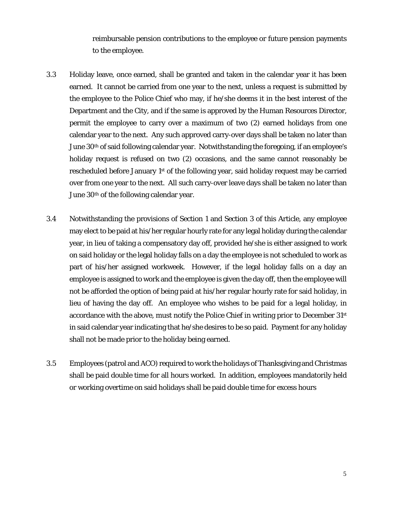reimbursable pension contributions to the employee or future pension payments to the employee.

- 3.3 Holiday leave, once earned, shall be granted and taken in the calendar year it has been earned. It cannot be carried from one year to the next, unless a request is submitted by the employee to the Police Chief who may, if he/she deems it in the best interest of the Department and the City, and if the same is approved by the Human Resources Director, permit the employee to carry over a maximum of two (2) earned holidays from one calendar year to the next. Any such approved carry-over days shall be taken no later than June 30<sup>th</sup> of said following calendar year. Notwithstanding the foregoing, if an employee's holiday request is refused on two (2) occasions, and the same cannot reasonably be rescheduled before January 1<sup>st</sup> of the following year, said holiday request may be carried over from one year to the next. All such carry-over leave days shall be taken no later than June 30th of the following calendar year.
- 3.4 Notwithstanding the provisions of Section 1 and Section 3 of this Article, any employee may elect to be paid at his/her regular hourly rate for any legal holiday during the calendar year, in lieu of taking a compensatory day off, provided he/she is either assigned to work on said holiday or the legal holiday falls on a day the employee is not scheduled to work as part of his/her assigned workweek. However, if the legal holiday falls on a day an employee is assigned to work and the employee is given the day off, then the employee will not be afforded the option of being paid at his/her regular hourly rate for said holiday, in lieu of having the day off. An employee who wishes to be paid for a legal holiday, in accordance with the above, must notify the Police Chief in writing prior to December  $31<sup>st</sup>$ in said calendar year indicating that he/she desires to be so paid. Payment for any holiday shall not be made prior to the holiday being earned.
- 3.5 Employees (patrol and ACO) required to work the holidays of Thanksgiving and Christmas shall be paid double time for all hours worked. In addition, employees mandatorily held or working overtime on said holidays shall be paid double time for excess hours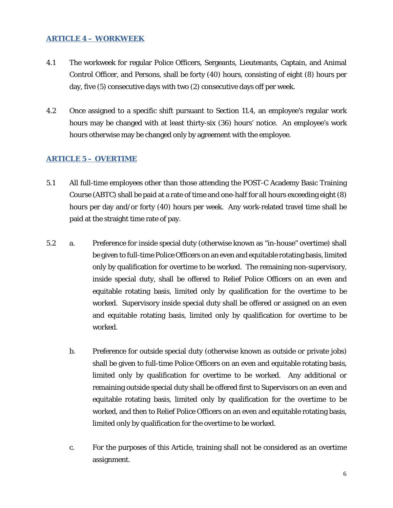#### <span id="page-5-0"></span>**ARTICLE 4 – WORKWEEK**

- 4.1 The workweek for regular Police Officers, Sergeants, Lieutenants, Captain, and Animal Control Officer, and Persons, shall be forty (40) hours, consisting of eight (8) hours per day, five (5) consecutive days with two (2) consecutive days off per week.
- 4.2 Once assigned to a specific shift pursuant to Section 11.4, an employee's regular work hours may be changed with at least thirty-six (36) hours' notice. An employee's work hours otherwise may be changed only by agreement with the employee.

#### <span id="page-5-1"></span>**ARTICLE 5 – OVERTIME**

- 5.1 All full-time employees other than those attending the POST-C Academy Basic Training Course (ABTC) shall be paid at a rate of time and one-half for all hours exceeding eight (8) hours per day and/or forty (40) hours per week. Any work-related travel time shall be paid at the straight time rate of pay.
- 5.2 a. Preference for inside special duty (otherwise known as "in-house" overtime) shall be given to full-time Police Officers on an even and equitable rotating basis, limited only by qualification for overtime to be worked. The remaining non-supervisory, inside special duty, shall be offered to Relief Police Officers on an even and equitable rotating basis, limited only by qualification for the overtime to be worked. Supervisory inside special duty shall be offered or assigned on an even and equitable rotating basis, limited only by qualification for overtime to be worked.
	- b. Preference for outside special duty (otherwise known as outside or private jobs) shall be given to full-time Police Officers on an even and equitable rotating basis, limited only by qualification for overtime to be worked. Any additional or remaining outside special duty shall be offered first to Supervisors on an even and equitable rotating basis, limited only by qualification for the overtime to be worked, and then to Relief Police Officers on an even and equitable rotating basis, limited only by qualification for the overtime to be worked.
	- c. For the purposes of this Article, training shall not be considered as an overtime assignment.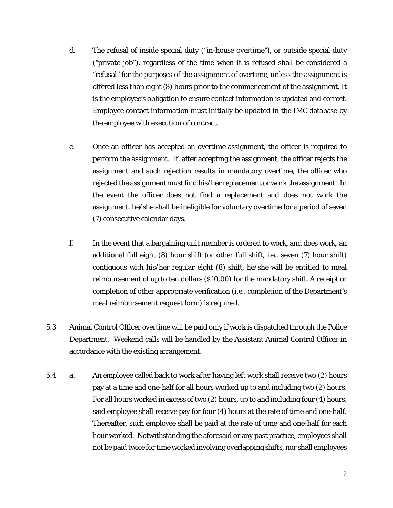- d. The refusal of inside special duty ("in-house overtime"), or outside special duty ("private job"), regardless of the time when it is refused shall be considered a "refusal" for the purposes of the assignment of overtime, unless the assignment is offered less than eight (8) hours prior to the commencement of the assignment. It is the employee's obligation to ensure contact information is updated and correct. Employee contact information must initially be updated in the IMC database by the employee with execution of contract.
- e. Once an officer has accepted an overtime assignment, the officer is required to perform the assignment. If, after accepting the assignment, the officer rejects the assignment and such rejection results in mandatory overtime, the officer who rejected the assignment must find his/her replacement or work the assignment. In the event the officer does not find a replacement and does not work the assignment, he/she shall be ineligible for voluntary overtime for a period of seven (7) consecutive calendar days.
- f. In the event that a bargaining unit member is ordered to work, and does work, an additional full eight (8) hour shift (or other full shift, i.e., seven (7) hour shift) contiguous with his/her regular eight (8) shift, he/she will be entitled to meal reimbursement of up to ten dollars (\$10.00) for the mandatory shift. A receipt or completion of other appropriate verification (i.e., completion of the Department's meal reimbursement request form) is required.
- 5.3 Animal Control Officer overtime will be paid only if work is dispatched through the Police Department. Weekend calls will be handled by the Assistant Animal Control Officer in accordance with the existing arrangement.
- 5.4 a. An employee called back to work after having left work shall receive two (2) hours pay at a time and one-half for all hours worked up to and including two (2) hours. For all hours worked in excess of two (2) hours, up to and including four (4) hours, said employee shall receive pay for four (4) hours at the rate of time and one-half. Thereafter, such employee shall be paid at the rate of time and one-half for each hour worked. Notwithstanding the aforesaid or any past practice, employees shall not be paid twice for time worked involving overlapping shifts, nor shall employees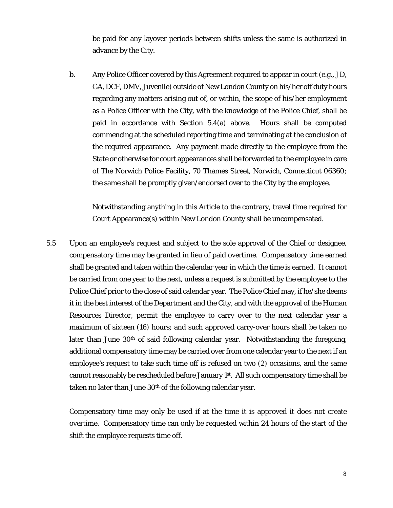be paid for any layover periods between shifts unless the same is authorized in advance by the City.

b. Any Police Officer covered by this Agreement required to appear in court (e.g., JD, GA, DCF, DMV, Juvenile) outside of New London County on his/her off duty hours regarding any matters arising out of, or within, the scope of his/her employment as a Police Officer with the City, with the knowledge of the Police Chief, shall be paid in accordance with Section 5.4(a) above. Hours shall be computed commencing at the scheduled reporting time and terminating at the conclusion of the required appearance. Any payment made directly to the employee from the State or otherwise for court appearances shall be forwarded to the employee in care of The Norwich Police Facility, 70 Thames Street, Norwich, Connecticut 06360; the same shall be promptly given/endorsed over to the City by the employee.

Notwithstanding anything in this Article to the contrary, travel time required for Court Appearance(s) within New London County shall be uncompensated.

5.5 Upon an employee's request and subject to the sole approval of the Chief or designee, compensatory time may be granted in lieu of paid overtime. Compensatory time earned shall be granted and taken within the calendar year in which the time is earned. It cannot be carried from one year to the next, unless a request is submitted by the employee to the Police Chief prior to the close of said calendar year. The Police Chief may, if he/she deems it in the best interest of the Department and the City, and with the approval of the Human Resources Director, permit the employee to carry over to the next calendar year a maximum of sixteen (16) hours; and such approved carry-over hours shall be taken no later than June 30<sup>th</sup> of said following calendar year. Notwithstanding the foregoing, additional compensatory time may be carried over from one calendar year to the next if an employee's request to take such time off is refused on two (2) occasions, and the same cannot reasonably be rescheduled before January 1<sup>st</sup>. All such compensatory time shall be taken no later than June  $30<sup>th</sup>$  of the following calendar year.

Compensatory time may only be used if at the time it is approved it does not create overtime. Compensatory time can only be requested within 24 hours of the start of the shift the employee requests time off.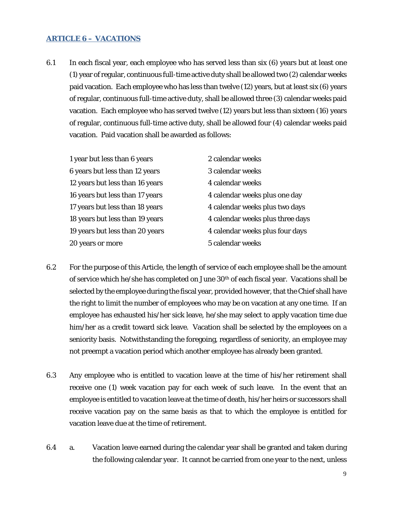#### <span id="page-8-0"></span>**ARTICLE 6 – VACATIONS**

6.1 In each fiscal year, each employee who has served less than six (6) years but at least one (1) year of regular, continuous full-time active duty shall be allowed two (2) calendar weeks paid vacation. Each employee who has less than twelve (12) years, but at least six (6) years of regular, continuous full-time active duty, shall be allowed three (3) calendar weeks paid vacation. Each employee who has served twelve (12) years but less than sixteen (16) years of regular, continuous full-time active duty, shall be allowed four (4) calendar weeks paid vacation. Paid vacation shall be awarded as follows:

| 1 year but less than 6 years    | 2 calendar weeks                 |
|---------------------------------|----------------------------------|
| 6 years but less than 12 years  | 3 calendar weeks                 |
| 12 years but less than 16 years | 4 calendar weeks                 |
| 16 years but less than 17 years | 4 calendar weeks plus one day    |
| 17 years but less than 18 years | 4 calendar weeks plus two days   |
| 18 years but less than 19 years | 4 calendar weeks plus three days |
| 19 years but less than 20 years | 4 calendar weeks plus four days  |
| 20 years or more                | 5 calendar weeks                 |

- 6.2 For the purpose of this Article, the length of service of each employee shall be the amount of service which he/she has completed on June 30th of each fiscal year. Vacations shall be selected by the employee during the fiscal year, provided however, that the Chief shall have the right to limit the number of employees who may be on vacation at any one time. If an employee has exhausted his/her sick leave, he/she may select to apply vacation time due him/her as a credit toward sick leave. Vacation shall be selected by the employees on a seniority basis. Notwithstanding the foregoing, regardless of seniority, an employee may not preempt a vacation period which another employee has already been granted.
- 6.3 Any employee who is entitled to vacation leave at the time of his/her retirement shall receive one (1) week vacation pay for each week of such leave. In the event that an employee is entitled to vacation leave at the time of death, his/her heirs or successors shall receive vacation pay on the same basis as that to which the employee is entitled for vacation leave due at the time of retirement.
- 6.4 a. Vacation leave earned during the calendar year shall be granted and taken during the following calendar year. It cannot be carried from one year to the next, unless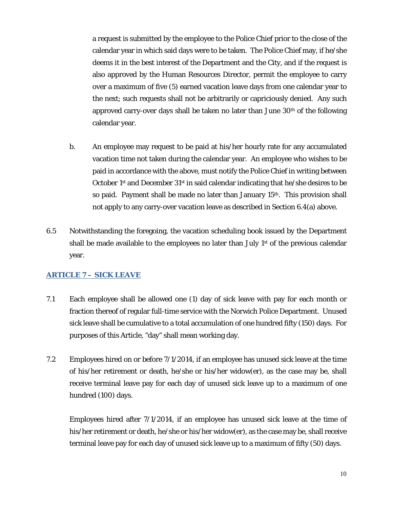a request is submitted by the employee to the Police Chief prior to the close of the calendar year in which said days were to be taken. The Police Chief may, if he/she deems it in the best interest of the Department and the City, and if the request is also approved by the Human Resources Director, permit the employee to carry over a maximum of five (5) earned vacation leave days from one calendar year to the next; such requests shall not be arbitrarily or capriciously denied. Any such approved carry-over days shall be taken no later than June  $30<sup>th</sup>$  of the following calendar year.

- b. An employee may request to be paid at his/her hourly rate for any accumulated vacation time not taken during the calendar year. An employee who wishes to be paid in accordance with the above, must notify the Police Chief in writing between October 1<sup>st</sup> and December  $31<sup>st</sup>$  in said calendar indicating that he/she desires to be so paid. Payment shall be made no later than January 15th. This provision shall *not* apply to any carry-over vacation leave as described in Section 6.4(a) above.
- 6.5 Notwithstanding the foregoing, the vacation scheduling book issued by the Department shall be made available to the employees no later than July  $1<sup>st</sup>$  of the previous calendar year.

#### <span id="page-9-0"></span>**ARTICLE 7 – SICK LEAVE**

- 7.1 Each employee shall be allowed one (1) day of sick leave with pay for each month or fraction thereof of regular full-time service with the Norwich Police Department. Unused sick leave shall be cumulative to a total accumulation of one hundred fifty (150) days. For purposes of this Article, "day" shall mean working day.
- 7.2 Employees hired on or before 7/1/2014, if an employee has unused sick leave at the time of his/her retirement or death, he/she or his/her widow(er), as the case may be, shall receive terminal leave pay for each day of unused sick leave up to a maximum of one hundred (100) days.

Employees hired after 7/1/2014, if an employee has unused sick leave at the time of his/her retirement or death, he/she or his/her widow(er), as the case may be, shall receive terminal leave pay for each day of unused sick leave up to a maximum of fifty (50) days.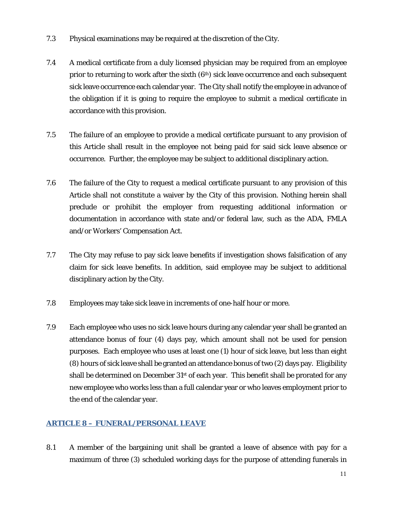- 7.3 Physical examinations may be required at the discretion of the City.
- 7.4 A medical certificate from a duly licensed physician may be required from an employee prior to returning to work after the sixth (6<sup>th</sup>) sick leave occurrence and each subsequent sick leave occurrence each calendar year. The City shall notify the employee in advance of the obligation if it is going to require the employee to submit a medical certificate in accordance with this provision.
- 7.5 The failure of an employee to provide a medical certificate pursuant to any provision of this Article shall result in the employee not being paid for said sick leave absence or occurrence. Further, the employee may be subject to additional disciplinary action.
- 7.6 The failure of the City to request a medical certificate pursuant to any provision of this Article shall not constitute a waiver by the City of this provision. Nothing herein shall preclude or prohibit the employer from requesting additional information or documentation in accordance with state and/or federal law, such as the ADA, FMLA and/or Workers' Compensation Act.
- 7.7 The City may refuse to pay sick leave benefits if investigation shows falsification of any claim for sick leave benefits. In addition, said employee may be subject to additional disciplinary action by the City.
- 7.8 Employees may take sick leave in increments of one-half hour or more.
- 7.9 Each employee who uses no sick leave hours during any calendar year shall be granted an attendance bonus of four (4) days pay, which amount shall not be used for pension purposes. Each employee who uses at least one (1) hour of sick leave, but less than eight (8) hours of sick leave shall be granted an attendance bonus of two (2) days pay. Eligibility shall be determined on December  $31<sup>st</sup>$  of each year. This benefit shall be prorated for any new employee who works less than a full calendar year or who leaves employment prior to the end of the calendar year.

# <span id="page-10-0"></span>**ARTICLE 8 – FUNERAL/PERSONAL LEAVE**

8.1 A member of the bargaining unit shall be granted a leave of absence with pay for a maximum of three (3) scheduled working days for the purpose of attending funerals in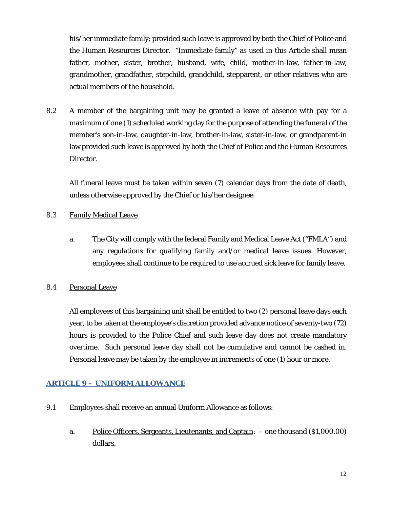his/her immediate family; provided such leave is approved by both the Chief of Police and the Human Resources Director. "Immediate family" as used in this Article shall mean father, mother, sister, brother, husband, wife, child, mother-in-law, father-in-law, grandmother, grandfather, stepchild, grandchild, stepparent, or other relatives who are actual members of the household.

8.2 A member of the bargaining unit may be granted a leave of absence with pay for a maximum of one (1) scheduled working day for the purpose of attending the funeral of the member's son-in-law, daughter-in-law, brother-in-law, sister-in-law, or grandparent-in law provided such leave is approved by both the Chief of Police and the Human Resources Director.

All funeral leave must be taken within seven (7) calendar days from the date of death, unless otherwise approved by the Chief or his/her designee.

#### 8.3 Family Medical Leave

a. The City will comply with the federal Family and Medical Leave Act ("FMLA") and any regulations for qualifying family and/or medical leave issues. However, employees shall continue to be required to use accrued sick leave for family leave.

#### 8.4 Personal Leave

All employees of this bargaining unit shall be entitled to two (2) personal leave days each year, to be taken at the employee's discretion provided advance notice of seventy-two (72) hours is provided to the Police Chief and such leave day does not create mandatory overtime. Such personal leave day shall not be cumulative and cannot be cashed in. Personal leave may be taken by the employee in increments of one (1) hour or more.

# <span id="page-11-0"></span>**ARTICLE 9 – UNIFORM ALLOWANCE**

- 9.1 Employees shall receive an annual Uniform Allowance as follows:
	- a. Police Officers, Sergeants, Lieutenants, and Captain: one thousand (\$1,000.00) dollars.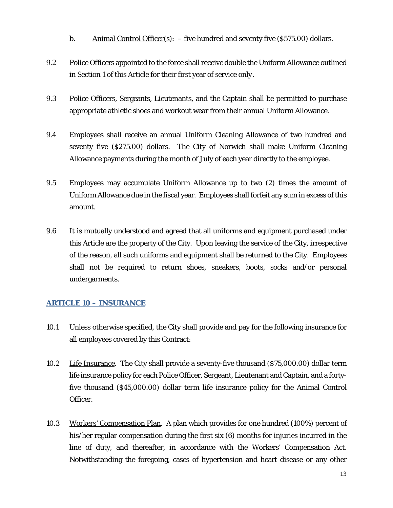- b. Animal Control Officer(s):  $-$  five hundred and seventy five (\$575.00) dollars.
- 9.2 Police Officers appointed to the force shall receive double the Uniform Allowance outlined in Section 1 of this Article for their first year of service *only*.
- 9.3 Police Officers, Sergeants, Lieutenants, and the Captain shall be permitted to purchase appropriate athletic shoes and workout wear from their annual Uniform Allowance.
- 9.4 Employees shall receive an annual Uniform Cleaning Allowance of two hundred and seventy five (\$275.00) dollars. The City of Norwich shall make Uniform Cleaning Allowance payments during the month of July of each year directly to the employee.
- 9.5 Employees may accumulate Uniform Allowance up to two (2) times the amount of Uniform Allowance due in the fiscal year. Employees shall forfeit any sum in excess of this amount.
- 9.6 It is mutually understood and agreed that all uniforms and equipment purchased under this Article are the property of the City. Upon leaving the service of the City, irrespective of the reason, all such uniforms and equipment shall be returned to the City. Employees shall not be required to return shoes, sneakers, boots, socks and/or personal undergarments.

# <span id="page-12-0"></span>**ARTICLE 10 – INSURANCE**

- 10.1 Unless otherwise specified, the City shall provide and pay for the following insurance for all employees covered by this Contract:
- 10.2 Life Insurance. The City shall provide a seventy-five thousand (\$75,000.00) dollar term life insurance policy for each Police Officer, Sergeant, Lieutenant and Captain, and a fortyfive thousand (\$45,000.00) dollar term life insurance policy for the Animal Control Officer.
- 10.3 Workers' Compensation Plan. A plan which provides for one hundred (100%) percent of his/her regular compensation during the first six (6) months for injuries incurred in the line of duty, and thereafter, in accordance with the Workers' Compensation Act. Notwithstanding the foregoing, cases of hypertension and heart disease or any other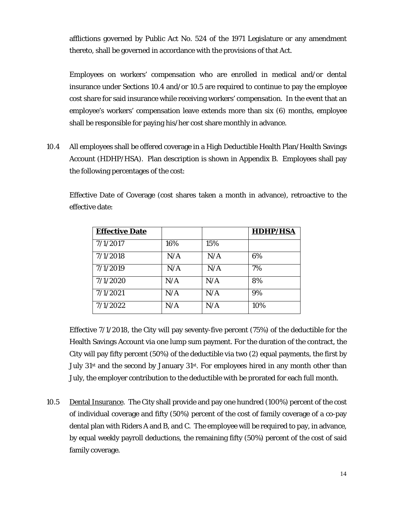afflictions governed by Public Act No. 524 of the 1971 Legislature or any amendment thereto, shall be governed in accordance with the provisions of that Act.

Employees on workers' compensation who are enrolled in medical and/or dental insurance under Sections 10.4 and/or 10.5 are required to continue to pay the employee cost share for said insurance while receiving workers' compensation. In the event that an employee's workers' compensation leave extends more than six (6) months, employee shall be responsible for paying his/her cost share monthly in advance.

10.4 All employees shall be offered coverage in a High Deductible Health Plan/Health Savings Account (HDHP/HSA). Plan description is shown in Appendix B. Employees shall pay the following percentages of the cost:

Effective Date of Coverage (cost shares taken a month in advance), retroactive to the effective date:

| <b>Effective Date</b> |     |     | <b>HDHP/HSA</b> |
|-----------------------|-----|-----|-----------------|
| 7/1/2017              | 16% | 15% |                 |
| 7/1/2018              | N/A | N/A | 6%              |
| 7/1/2019              | N/A | N/A | 7%              |
| 7/1/2020              | N/A | N/A | 8%              |
| 7/1/2021              | N/A | N/A | 9%              |
| 7/1/2022              | N/A | N/A | 10%             |

Effective 7/1/2018, the City will pay seventy-five percent (75%) of the deductible for the Health Savings Account via one lump sum payment. For the duration of the contract, the City will pay fifty percent (50%) of the deductible via two (2) equal payments, the first by July  $31<sup>st</sup>$  and the second by January  $31<sup>st</sup>$ . For employees hired in any month other than July, the employer contribution to the deductible with be prorated for each full month.

10.5 Dental Insurance. The City shall provide and pay one hundred (100%) percent of the cost of individual coverage and fifty (50%) percent of the cost of family coverage of a co-pay dental plan with Riders A and B, and C. The employee will be required to pay, in advance, by equal weekly payroll deductions, the remaining fifty (50%) percent of the cost of said family coverage.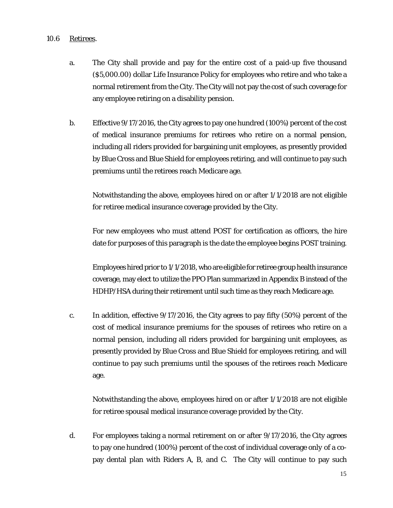#### 10.6 Retirees.

- a. The City shall provide and pay for the entire cost of a paid-up five thousand (\$5,000.00) dollar Life Insurance Policy for employees who retire and who take a normal retirement from the City. The City will not pay the cost of such coverage for any employee retiring on a disability pension.
- b. Effective 9/17/2016, the City agrees to pay one hundred (100%) percent of the cost of medical insurance premiums for retirees who retire on a normal pension, including all riders provided for bargaining unit employees, as presently provided by Blue Cross and Blue Shield for employees retiring, and will continue to pay such premiums until the retirees reach Medicare age.

Notwithstanding the above, employees hired on or after 1/1/2018 are not eligible for retiree medical insurance coverage provided by the City.

For new employees who must attend POST for certification as officers, the hire date for purposes of this paragraph is the date the employee begins POST training.

Employees hired prior to 1/1/2018, who are eligible for retiree group health insurance coverage, may elect to utilize the PPO Plan summarized in Appendix B instead of the HDHP/HSA during their retirement until such time as they reach Medicare age.

c. In addition, effective 9/17/2016, the City agrees to pay fifty (50%) percent of the cost of medical insurance premiums for the spouses of retirees who retire on a normal pension, including all riders provided for bargaining unit employees, as presently provided by Blue Cross and Blue Shield for employees retiring, and will continue to pay such premiums until the spouses of the retirees reach Medicare age.

Notwithstanding the above, employees hired on or after 1/1/2018 are not eligible for retiree spousal medical insurance coverage provided by the City.

d. For employees taking a normal retirement on or after 9/17/2016, the City agrees to pay one hundred (100%) percent of the cost of individual coverage *only* of a copay dental plan with Riders A, B, and C. The City will continue to pay such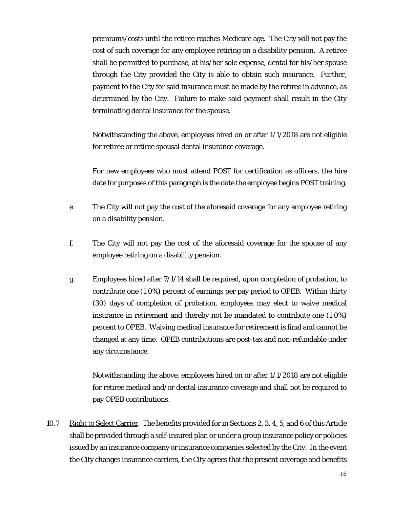premiums/costs until the retiree reaches Medicare age. The City will *not* pay the cost of such coverage for any employee retiring on a disability pension. A retiree shall be permitted to purchase, at his/her sole expense, dental for his/her spouse through the City provided the City is able to obtain such insurance. Further, payment to the City for said insurance must be made by the retiree in advance, as determined by the City. Failure to make said payment shall result in the City terminating dental insurance for the spouse.

Notwithstanding the above, employees hired on or after 1/1/2018 are not eligible for retiree or retiree spousal dental insurance coverage.

For new employees who must attend POST for certification as officers, the hire date for purposes of this paragraph is the date the employee begins POST training.

- e. The City will not pay the cost of the aforesaid coverage for any employee retiring on a disability pension.
- f. The City will not pay the cost of the aforesaid coverage for the spouse of any employee retiring on a disability pension.
- g. Employees hired after 7/1/14 shall be required, upon completion of probation, to contribute one (1.0%) percent of earnings per pay period to OPEB. Within thirty (30) days of completion of probation, employees may elect to waive medical insurance in retirement and thereby not be mandated to contribute one (1.0%) percent to OPEB. Waiving medical insurance for retirement is final and cannot be changed at any time. OPEB contributions are post-tax and non-refundable under any circumstance.

Notwithstanding the above, employees hired on or after 1/1/2018 are not eligible for retiree medical and/or dental insurance coverage and shall not be required to pay OPEB contributions.

10.7 Right to Select Carrier. The benefits provided for in Sections 2, 3, 4, 5, and 6 of this Article shall be provided through a self-insured plan or under a group insurance policy or policies issued by an insurance company or insurance companies selected by the City. In the event the City changes insurance carriers, the City agrees that the present coverage and benefits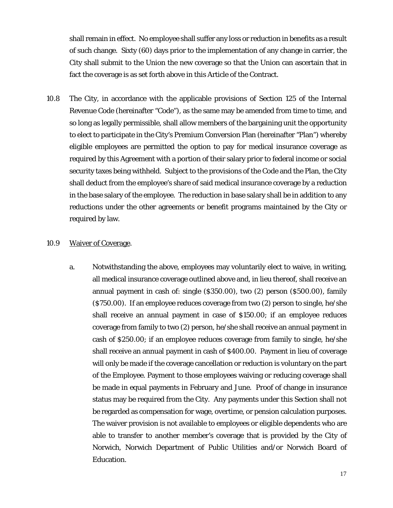shall remain in effect. No employee shall suffer any loss or reduction in benefits as a result of such change. Sixty (60) days prior to the implementation of any change in carrier, the City shall submit to the Union the new coverage so that the Union can ascertain that in fact the coverage is as set forth above in this Article of the Contract.

10.8 The City, in accordance with the applicable provisions of Section 125 of the Internal Revenue Code (hereinafter "Code"), as the same may be amended from time to time, and so long as legally permissible, shall allow members of the bargaining unit the opportunity to elect to participate in the City's Premium Conversion Plan (hereinafter "Plan") whereby eligible employees are permitted the option to pay for medical insurance coverage as required by this Agreement with a portion of their salary prior to federal income or social security taxes being withheld. Subject to the provisions of the Code and the Plan, the City shall deduct from the employee's share of said medical insurance coverage by a reduction in the base salary of the employee. The reduction in base salary shall be in addition to any reductions under the other agreements or benefit programs maintained by the City or required by law.

#### 10.9 Waiver of Coverage.

a. Notwithstanding the above, employees may voluntarily elect to waive, in writing, all medical insurance coverage outlined above and, in lieu thereof, shall receive an annual payment in cash of: single (\$350.00), two (2) person (\$500.00), family (\$750.00). If an employee reduces coverage from two (2) person to single, he/she shall receive an annual payment in case of \$150.00; if an employee reduces coverage from family to two (2) person, he/she shall receive an annual payment in cash of \$250.00; if an employee reduces coverage from family to single, he/she shall receive an annual payment in cash of \$400.00. Payment in lieu of coverage will only be made if the coverage cancellation or reduction is voluntary on the part of the Employee. Payment to those employees waiving or reducing coverage shall be made in equal payments in February and June. Proof of change in insurance status may be required from the City. Any payments under this Section shall not be regarded as compensation for wage, overtime, or pension calculation purposes. The waiver provision is not available to employees or eligible dependents who are able to transfer to another member's coverage that is provided by the City of Norwich, Norwich Department of Public Utilities and/or Norwich Board of Education.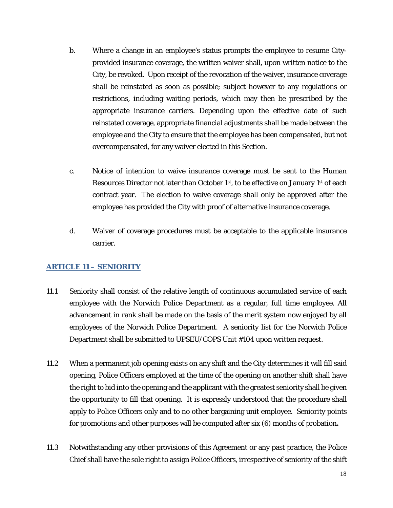- b. Where a change in an employee's status prompts the employee to resume Cityprovided insurance coverage, the written waiver shall, upon written notice to the City, be revoked. Upon receipt of the revocation of the waiver, insurance coverage shall be reinstated as soon as possible; subject however to any regulations or restrictions, including waiting periods, which may then be prescribed by the appropriate insurance carriers. Depending upon the effective date of such reinstated coverage, appropriate financial adjustments shall be made between the employee and the City to ensure that the employee has been compensated, but not overcompensated, for any waiver elected in this Section.
- c. Notice of intention to waive insurance coverage must be sent to the Human Resources Director not later than October 1<sup>st</sup>, to be effective on January 1<sup>st</sup> of each contract year. The election to waive coverage shall only be approved after the employee has provided the City with proof of alternative insurance coverage.
- d. Waiver of coverage procedures must be acceptable to the applicable insurance carrier.

# <span id="page-17-0"></span>**ARTICLE 11 – SENIORITY**

- 11.1 Seniority shall consist of the relative length of continuous accumulated service of each employee with the Norwich Police Department as a regular, full time employee. All advancement in rank shall be made on the basis of the merit system now enjoyed by all employees of the Norwich Police Department. A seniority list for the Norwich Police Department shall be submitted to UPSEU/COPS Unit #104 upon written request.
- 11.2 When a permanent job opening exists on any shift and the City determines it will fill said opening, Police Officers employed at the time of the opening on another shift shall have the right to bid into the opening and the applicant with the greatest seniority shall be given the opportunity to fill that opening. It is expressly understood that the procedure shall apply to Police Officers only and to no other bargaining unit employee. Seniority points for promotions and other purposes will be computed after six (6) months of probation*.*
- 11.3 Notwithstanding any other provisions of this Agreement or any past practice, the Police Chief shall have the sole right to assign Police Officers, irrespective of seniority of the shift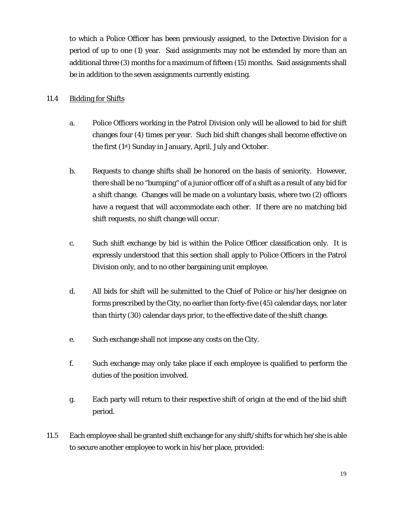to which a Police Officer has been previously assigned, to the Detective Division for a period of up to one (1) year. Said assignments may *not* be extended by more than an additional three (3) months for a maximum of fifteen (15) months. Said assignments shall be in addition to the seven assignments currently existing.

#### 11.4 Bidding for Shifts

- a. Police Officers working in the Patrol Division only will be allowed to bid for shift changes four (4) times per year. Such bid shift changes shall become effective on the first (1st) Sunday in January, April, July and October.
- b. Requests to change shifts shall be honored on the basis of seniority. However, there shall be no "bumping" of a junior officer off of a shift as a result of any bid for a shift change. Changes will be made on a voluntary basis, where two (2) officers have a request that will accommodate each other. If there are no matching bid shift requests, no shift change will occur.
- c. Such shift exchange by bid is within the Police Officer classification only. It is expressly understood that this section shall apply to Police Officers in the Patrol Division only, and to no other bargaining unit employee.
- d. All bids for shift will be submitted to the Chief of Police or his/her designee on forms prescribed by the City, no earlier than forty-five (45) calendar days, nor later than thirty (30) calendar days prior, to the effective date of the shift change.
- e. Such exchange shall not impose any costs on the City.
- f. Such exchange may only take place if each employee is qualified to perform the duties of the position involved.
- g. Each party will return to their respective shift of origin at the end of the bid shift period.
- 11.5 Each employee shall be granted shift exchange for any shift/shifts for which he/she is able to secure another employee to work in his/her place, provided: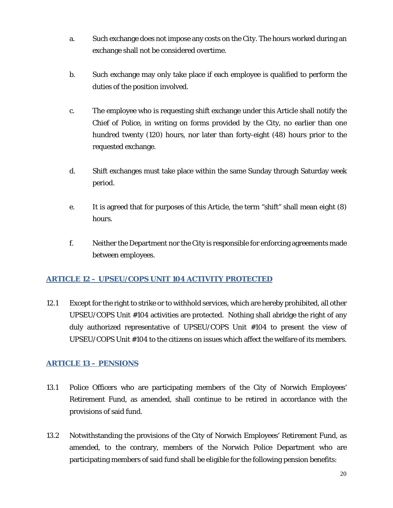- a. Such exchange does not impose any costs on the City. The hours worked during an exchange shall not be considered overtime.
- b. Such exchange may only take place if each employee is qualified to perform the duties of the position involved.
- c. The employee who is requesting shift exchange under this Article shall notify the Chief of Police, in writing on forms provided by the City, no earlier than one hundred twenty (120) hours, nor later than forty-eight (48) hours prior to the requested exchange.
- d. Shift exchanges must take place within the same Sunday through Saturday week period.
- e. It is agreed that for purposes of this Article, the term "shift" shall mean eight (8) hours.
- f. Neither the Department nor the City is responsible for enforcing agreements made between employees.

# <span id="page-19-0"></span>**ARTICLE 12 – UPSEU/COPS UNIT 104 ACTIVITY PROTECTED**

12.1 Except for the right to strike or to withhold services, which are hereby prohibited, all other UPSEU/COPS Unit #104 activities are protected. Nothing shall abridge the right of any duly authorized representative of UPSEU/COPS Unit #104 to present the view of UPSEU/COPS Unit #104 to the citizens on issues which affect the welfare of its members.

# <span id="page-19-1"></span>**ARTICLE 13 – PENSIONS**

- 13.1 Police Officers who are participating members of the City of Norwich Employees' Retirement Fund, as amended, shall continue to be retired in accordance with the provisions of said fund.
- 13.2 Notwithstanding the provisions of the City of Norwich Employees' Retirement Fund, as amended, to the contrary, members of the Norwich Police Department who are participating members of said fund shall be eligible for the following pension benefits: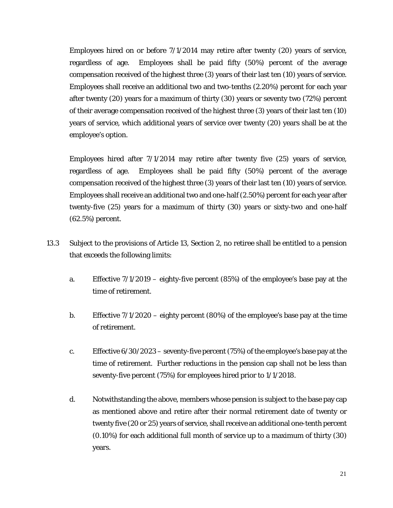Employees hired on or before 7/1/2014 may retire after twenty (20) years of service, regardless of age. Employees shall be paid fifty (50%) percent of the average compensation received of the highest three (3) years of their last ten (10) years of service. Employees shall receive an additional two and two-tenths (2.20%) percent for each year after twenty (20) years for a maximum of thirty (30) years or seventy two (72%) percent of their average compensation received of the highest three (3) years of their last ten (10) years of service, which additional years of service over twenty (20) years shall be at the employee's option.

Employees hired after 7/1/2014 may retire after twenty five (25) years of service, regardless of age. Employees shall be paid fifty (50%) percent of the average compensation received of the highest three (3) years of their last ten (10) years of service. Employees shall receive an additional two and one-half (2.50%) percent for each year after twenty-five (25) years for a maximum of thirty (30) years or sixty-two and one-half (62.5%) percent.

- 13.3 Subject to the provisions of Article 13, Section 2, no retiree shall be entitled to a pension that exceeds the following limits:
	- a. Effective 7/1/2019 eighty-five percent (85%) of the employee's base pay at the time of retirement.
	- b. Effective 7/1/2020 eighty percent (80%) of the employee's base pay at the time of retirement.
	- c. Effective 6/30/2023 seventy-five percent (75%) of the employee's base pay at the time of retirement. Further reductions in the pension cap shall not be less than seventy-five percent (75%) for employees hired prior to 1/1/2018.
	- d. Notwithstanding the above, members whose pension is subject to the base pay cap as mentioned above and retire after their normal retirement date of twenty or twenty five (20 or 25) years of service, shall receive an additional one-tenth percent (0.10%) for each additional full month of service up to a maximum of thirty (30) years.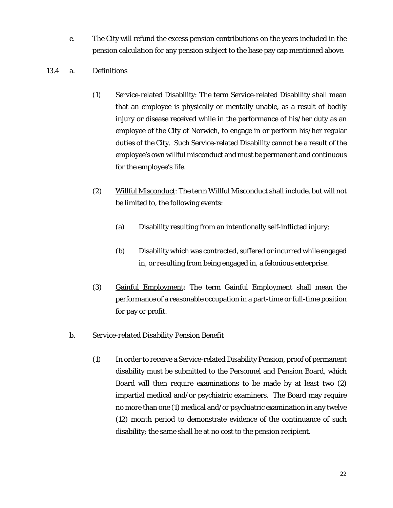e. The City will refund the excess pension contributions on the years included in the pension calculation for any pension subject to the base pay cap mentioned above.

#### 13.4 a. *Definitions*

- (1) Service-related Disability: The term Service-related Disability shall mean that an employee is physically or mentally unable, as a result of bodily injury or disease received while in the performance of his/her duty as an employee of the City of Norwich, to engage in or perform his/her regular duties of the City. Such Service-related Disability cannot be a result of the employee's own willful misconduct and must be permanent and continuous for the employee's life.
- (2) Willful Misconduct: The term Willful Misconduct shall include, but will not be limited to, the following events:
	- (a) Disability resulting from an intentionally self-inflicted injury;
	- (b) Disability which was contracted, suffered or incurred while engaged in, or resulting from being engaged in, a felonious enterprise.
- (3) Gainful Employment: The term Gainful Employment shall mean the performance of a reasonable occupation in a part-time or full-time position for pay or profit.

# b. *Service-related Disability Pension Benefit*

(1) In order to receive a Service-related Disability Pension, proof of permanent disability must be submitted to the Personnel and Pension Board, which Board will then require examinations to be made by at least two (2) impartial medical and/or psychiatric examiners. The Board may require no more than one (1) medical and/or psychiatric examination in any twelve (12) month period to demonstrate evidence of the continuance of such disability; the same shall be at no cost to the pension recipient.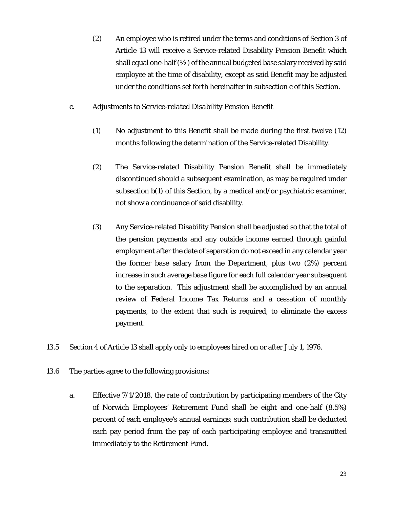- (2) An employee who is retired under the terms and conditions of Section 3 of Article 13 will receive a Service-related Disability Pension Benefit which shall equal one-half  $(\frac{1}{2})$  of the annual budgeted base salary received by said employee at the time of disability, except as said Benefit may be adjusted under the conditions set forth hereinafter in subsection c of this Section.
- c*. Adjustments to Service-related Disability Pension Benefit*
	- (1) No adjustment to this Benefit shall be made during the first twelve (12) months following the determination of the Service-related Disability.
	- (2) The Service-related Disability Pension Benefit shall be immediately discontinued should a subsequent examination, as may be required under subsection b(1) of this Section, by a medical and/or psychiatric examiner, *not* show a continuance of said disability.
	- (3) Any Service-related Disability Pension shall be adjusted so that the total of the pension payments and any outside income earned through gainful employment after the date of separation do not exceed in any calendar year the former base salary from the Department, plus two (2%) percent increase in such average base figure for each full calendar year subsequent to the separation. This adjustment shall be accomplished by an annual review of Federal Income Tax Returns and a cessation of monthly payments, to the extent that such is required, to eliminate the excess payment.
- 13.5 Section 4 of Article 13 shall apply only to employees hired on or after July 1, 1976.
- 13.6 The parties agree to the following provisions:
	- a. Effective 7/1/2018, the rate of contribution by participating members of the City of Norwich Employees' Retirement Fund shall be eight and one-half (8.5%) percent of each employee's annual earnings; such contribution shall be deducted each pay period from the pay of each participating employee and transmitted immediately to the Retirement Fund.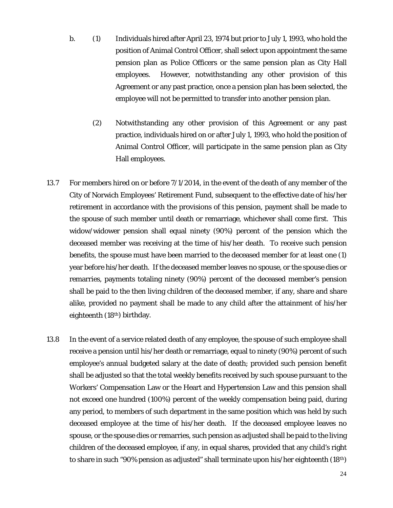- b. (1) Individuals hired after April 23, 1974 but prior to July 1, 1993, who hold the position of Animal Control Officer, shall select upon appointment the same pension plan as Police Officers or the same pension plan as City Hall employees. However, notwithstanding any other provision of this Agreement or any past practice, once a pension plan has been selected, the employee will not be permitted to transfer into another pension plan.
	- (2) Notwithstanding any other provision of this Agreement or any past practice, individuals hired on or after July 1, 1993, who hold the position of Animal Control Officer, will participate in the same pension plan as City Hall employees.
- 13.7 For members hired on or before 7/1/2014, in the event of the death of any member of the City of Norwich Employees' Retirement Fund, subsequent to the effective date of his/her retirement in accordance with the provisions of this pension, payment shall be made to the spouse of such member until death or remarriage, whichever shall come first. This widow/widower pension shall equal ninety (90%) percent of the pension which the deceased member was receiving at the time of his/her death. To receive such pension benefits, the spouse must have been married to the deceased member for at least one (1) year before his/her death. If the deceased member leaves no spouse, or the spouse dies or remarries, payments totaling ninety (90%) percent of the deceased member's pension shall be paid to the then living children of the deceased member, if any, share and share alike, provided no payment shall be made to any child after the attainment of his/her eighteenth (18th) birthday.
- 13.8 In the event of a service related death of any employee, the spouse of such employee shall receive a pension until his/her death or remarriage, equal to ninety (90%) percent of such employee's annual budgeted salary at the date of death; provided such pension benefit shall be adjusted so that the total weekly benefits received by such spouse pursuant to the Workers' Compensation Law or the Heart and Hypertension Law and this pension shall not exceed one hundred (100%) percent of the weekly compensation being paid, during any period, to members of such department in the same position which was held by such deceased employee at the time of his/her death. If the deceased employee leaves no spouse, or the spouse dies or remarries, such pension as adjusted shall be paid to the living children of the deceased employee, if any, in equal shares, provided that any child's right to share in such "90% pension as adjusted" shall terminate upon his/her eighteenth  $(18<sup>th</sup>)$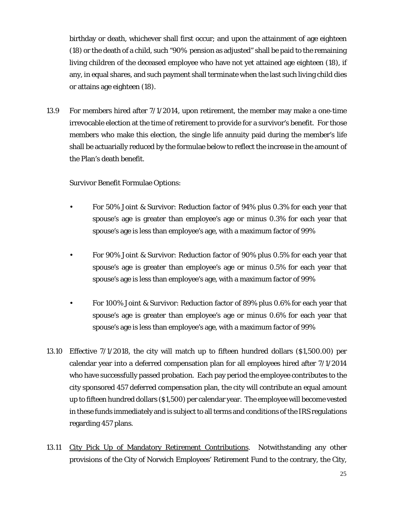birthday or death, whichever shall first occur; and upon the attainment of age eighteen (18) or the death of a child, such "90% pension as adjusted" shall be paid to the remaining living children of the deceased employee who have not yet attained age eighteen (18), if any, in equal shares, and such payment shall terminate when the last such living child dies or attains age eighteen (18).

13.9 For members hired after 7/1/2014, upon retirement, the member may make a one-time irrevocable election at the time of retirement to provide for a survivor's benefit. For those members who make this election, the single life annuity paid during the member's life shall be actuarially reduced by the formulae below to reflect the increase in the amount of the Plan's death benefit.

#### Survivor Benefit Formulae Options:

- For 50% Joint & Survivor: Reduction factor of 94% plus 0.3% for each year that spouse's age is greater than employee's age or minus 0.3% for each year that spouse's age is less than employee's age, with a maximum factor of 99%
- For 90% Joint & Survivor: Reduction factor of 90% plus 0.5% for each year that spouse's age is greater than employee's age or minus 0.5% for each year that spouse's age is less than employee's age, with a maximum factor of 99%
- For 100% Joint & Survivor: Reduction factor of 89% plus 0.6% for each year that spouse's age is greater than employee's age or minus 0.6% for each year that spouse's age is less than employee's age, with a maximum factor of 99%
- 13.10 Effective 7/1/2018, the city will match up to fifteen hundred dollars (\$1,500.00) per calendar year into a deferred compensation plan for all employees hired after 7/1/2014 who have successfully passed probation. Each pay period the employee contributes to the city sponsored 457 deferred compensation plan, the city will contribute an equal amount up to fifteen hundred dollars (\$1,500) per calendar year. The employee will become vested in these funds immediately and is subject to all terms and conditions of the IRS regulations regarding 457 plans.
- 13.11 City Pick Up of Mandatory Retirement Contributions. Notwithstanding any other provisions of the City of Norwich Employees' Retirement Fund to the contrary, the City,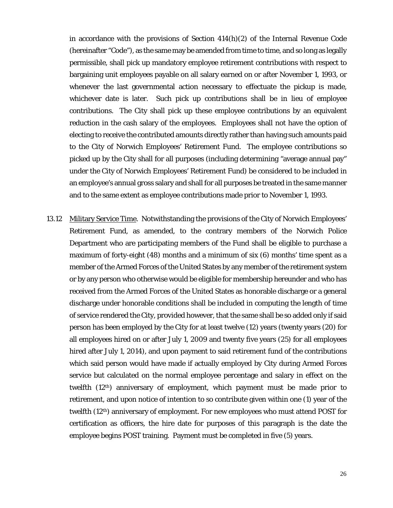in accordance with the provisions of Section 414(h)(2) of the Internal Revenue Code (hereinafter "Code"), as the same may be amended from time to time, and so long as legally permissible, shall pick up mandatory employee retirement contributions with respect to bargaining unit employees payable on all salary earned on or after November 1, 1993, or whenever the last governmental action necessary to effectuate the pickup is made, whichever date is later. Such pick up contributions shall be in lieu of employee contributions. The City shall pick up these employee contributions by an equivalent reduction in the cash salary of the employees. Employees shall not have the option of electing to receive the contributed amounts directly rather than having such amounts paid to the City of Norwich Employees' Retirement Fund. The employee contributions so picked up by the City shall for all purposes (including determining "average annual pay" under the City of Norwich Employees' Retirement Fund) be considered to be included in an employee's annual gross salary and shall for all purposes be treated in the same manner and to the same extent as employee contributions made prior to November 1, 1993.

13.12 Military Service Time. Notwithstanding the provisions of the City of Norwich Employees' Retirement Fund, as amended, to the contrary members of the Norwich Police Department who are participating members of the Fund shall be eligible to purchase a maximum of forty-eight (48) months and a minimum of six (6) months' time spent as a member of the Armed Forces of the United States by any member of the retirement system or by any person who otherwise would be eligible for membership hereunder and who has received from the Armed Forces of the United States as honorable discharge or a general discharge under honorable conditions shall be included in computing the length of time of service rendered the City, provided however, that the same shall be so added only if said person has been employed by the City for at least twelve (12) years (twenty years (20) for all employees hired on or after July 1, 2009 and twenty five years (25) for all employees hired after July 1, 2014), and upon payment to said retirement fund of the contributions which said person would have made if actually employed by City during Armed Forces service but calculated on the normal employee percentage and salary in effect on the twelfth  $(12<sup>th</sup>)$  anniversary of employment, which payment must be made prior to retirement, and upon notice of intention to so contribute given within one (1) year of the twelfth (12th) anniversary of employment. For new employees who must attend POST for certification as officers, the hire date for purposes of this paragraph is the date the employee begins POST training. Payment must be completed in five (5) years.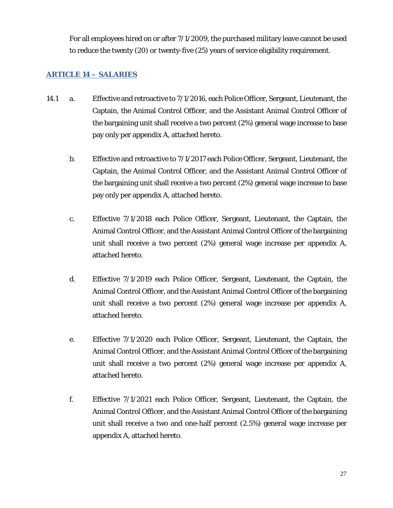For all employees hired on or after 7/1/2009, the purchased military leave cannot be used to reduce the twenty (20) or twenty-five (25) years of service eligibility requirement.

#### <span id="page-26-0"></span>**ARTICLE 14 – SALARIES**

- 14.1 a. Effective and retroactive to 7/1/2016, each Police Officer, Sergeant, Lieutenant, the Captain, the Animal Control Officer, and the Assistant Animal Control Officer of the bargaining unit shall receive a two percent (2%) general wage increase to base pay only per appendix A, attached hereto.
	- b. Effective and retroactive to 7/1/2017 each Police Officer, Sergeant, Lieutenant, the Captain, the Animal Control Officer, and the Assistant Animal Control Officer of the bargaining unit shall receive a two percent (2%) general wage increase to base pay only per appendix A, attached hereto.
	- c. Effective 7/1/2018 each Police Officer, Sergeant, Lieutenant, the Captain, the Animal Control Officer, and the Assistant Animal Control Officer of the bargaining unit shall receive a two percent (2%) general wage increase per appendix A, attached hereto.
	- d. Effective 7/1/2019 each Police Officer, Sergeant, Lieutenant, the Captain, the Animal Control Officer, and the Assistant Animal Control Officer of the bargaining unit shall receive a two percent (2%) general wage increase per appendix A, attached hereto.
	- e. Effective 7/1/2020 each Police Officer, Sergeant, Lieutenant, the Captain, the Animal Control Officer, and the Assistant Animal Control Officer of the bargaining unit shall receive a two percent (2%) general wage increase per appendix A, attached hereto.
	- f. Effective 7/1/2021 each Police Officer, Sergeant, Lieutenant, the Captain, the Animal Control Officer, and the Assistant Animal Control Officer of the bargaining unit shall receive a two and one-half percent (2.5%) general wage increase per appendix A, attached hereto.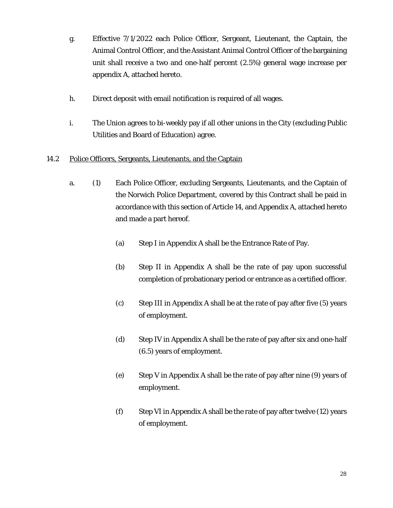- g. Effective 7/1/2022 each Police Officer, Sergeant, Lieutenant, the Captain, the Animal Control Officer, and the Assistant Animal Control Officer of the bargaining unit shall receive a two and one-half percent (2.5%) general wage increase per appendix A, attached hereto.
- h. Direct deposit with email notification is required of all wages.
- i. The Union agrees to bi-weekly pay if all other unions in the City (excluding Public Utilities and Board of Education) agree.

# 14.2 Police Officers, Sergeants, Lieutenants, and the Captain

- a. (1) Each Police Officer, excluding Sergeants, Lieutenants, and the Captain of the Norwich Police Department, covered by this Contract shall be paid in accordance with this section of Article 14, and Appendix A, attached hereto and made a part hereof.
	- (a) Step I in Appendix A shall be the Entrance Rate of Pay.
	- (b) Step II in Appendix A shall be the rate of pay upon successful completion of probationary period or entrance as a certified officer.
	- (c) Step III in Appendix A shall be at the rate of pay after five (5) years of employment.
	- (d) Step IV in Appendix A shall be the rate of pay after six and one-half (6.5) years of employment.
	- (e) Step V in Appendix A shall be the rate of pay after nine (9) years of employment.
	- (f) Step VI in Appendix A shall be the rate of pay after twelve (12) years of employment.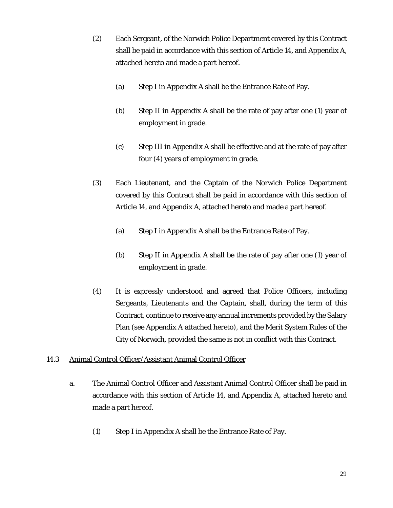- (2) Each Sergeant, of the Norwich Police Department covered by this Contract shall be paid in accordance with this section of Article 14, and Appendix A, attached hereto and made a part hereof.
	- (a) Step I in Appendix A shall be the Entrance Rate of Pay.
	- (b) Step II in Appendix A shall be the rate of pay after one (1) year of employment in grade.
	- (c) Step III in Appendix A shall be effective and at the rate of pay after four (4) years of employment in grade.
- (3) Each Lieutenant, and the Captain of the Norwich Police Department covered by this Contract shall be paid in accordance with this section of Article 14, and Appendix A, attached hereto and made a part hereof.
	- (a) Step I in Appendix A shall be the Entrance Rate of Pay.
	- (b) Step II in Appendix A shall be the rate of pay after one (1) year of employment in grade.
- (4) It is expressly understood and agreed that Police Officers, including Sergeants, Lieutenants and the Captain, shall, during the term of this Contract, continue to receive any annual increments provided by the Salary Plan (see Appendix A attached hereto), and the Merit System Rules of the City of Norwich, provided the same is not in conflict with this Contract.

# 14.3 Animal Control Officer/Assistant Animal Control Officer

- a. The Animal Control Officer and Assistant Animal Control Officer shall be paid in accordance with this section of Article 14, and Appendix A, attached hereto and made a part hereof.
	- (1) Step I in Appendix A shall be the Entrance Rate of Pay.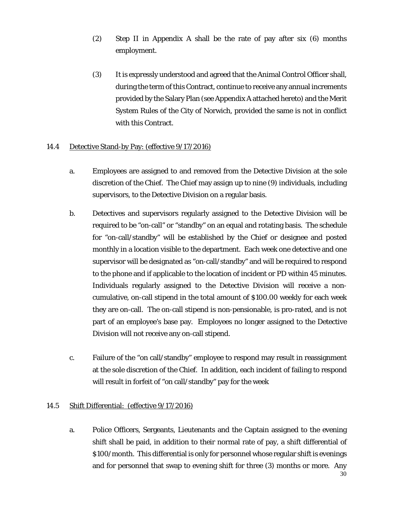- (2) Step II in Appendix A shall be the rate of pay after six (6) months employment.
- (3) It is expressly understood and agreed that the Animal Control Officer shall, during the term of this Contract, continue to receive any annual increments provided by the Salary Plan (see Appendix A attached hereto) and the Merit System Rules of the City of Norwich, provided the same is not in conflict with this Contract.

# 14.4 Detective Stand-by Pay: (effective 9/17/2016)

- a. Employees are assigned to and removed from the Detective Division at the sole discretion of the Chief. The Chief may assign up to nine (9) individuals, including supervisors, to the Detective Division on a regular basis.
- b. Detectives and supervisors regularly assigned to the Detective Division will be required to be "on-call" or "standby" on an equal and rotating basis. The schedule for "on-call/standby" will be established by the Chief or designee and posted monthly in a location visible to the department. Each week one detective and one supervisor will be designated as "on-call/standby" and will be required to respond to the phone and if applicable to the location of incident or PD within 45 minutes. Individuals regularly assigned to the Detective Division will receive a noncumulative, on-call stipend in the total amount of \$100.00 weekly for each week they are on-call. The on-call stipend is non-pensionable, is pro-rated, and is not part of an employee's base pay. Employees no longer assigned to the Detective Division will not receive any on-call stipend.
- c. Failure of the "on call/standby" employee to respond may result in reassignment at the sole discretion of the Chief. In addition, each incident of failing to respond will result in forfeit of "on call/standby" pay for the week

#### 14.5 Shift Differential: (effective 9/17/2016)

a. Police Officers, Sergeants, Lieutenants and the Captain assigned to the evening shift shall be paid, in addition to their normal rate of pay, a shift differential of \$100/month. This differential is only for personnel whose regular shift is evenings and for personnel that swap to evening shift for three (3) months or more. Any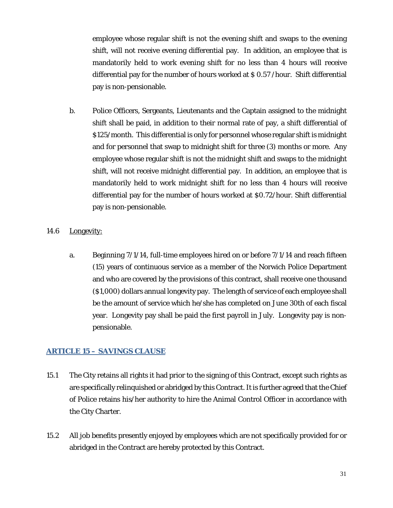employee whose regular shift is not the evening shift and swaps to the evening shift, will not receive evening differential pay. In addition, an employee that is mandatorily held to work evening shift for no less than 4 hours will receive differential pay for the number of hours worked at \$ 0.57 /hour. Shift differential pay is non-pensionable.

b. Police Officers, Sergeants, Lieutenants and the Captain assigned to the midnight shift shall be paid, in addition to their normal rate of pay, a shift differential of \$125/month. This differential is only for personnel whose regular shift is midnight and for personnel that swap to midnight shift for three (3) months or more. Any employee whose regular shift is not the midnight shift and swaps to the midnight shift, will not receive midnight differential pay. In addition, an employee that is mandatorily held to work midnight shift for no less than 4 hours will receive differential pay for the number of hours worked at \$0.72/hour. Shift differential pay is non-pensionable.

#### 14.6 Longevity:

a. Beginning 7/1/14, full-time employees hired on or before 7/1/14 and reach fifteen (15) years of continuous service as a member of the Norwich Police Department and who are covered by the provisions of this contract, shall receive one thousand (\$1,000) dollars annual longevity pay. The length of service of each employee shall be the amount of service which he/she has completed on June 30th of each fiscal year. Longevity pay shall be paid the first payroll in July. Longevity pay is nonpensionable.

# <span id="page-30-0"></span>**ARTICLE 15 – SAVINGS CLAUSE**

- 15.1 The City retains all rights it had prior to the signing of this Contract, except such rights as are specifically relinquished or abridged by this Contract. It is further agreed that the Chief of Police retains his/her authority to hire the Animal Control Officer in accordance with the City Charter.
- 15.2 All job benefits presently enjoyed by employees which are not specifically provided for or abridged in the Contract are hereby protected by this Contract.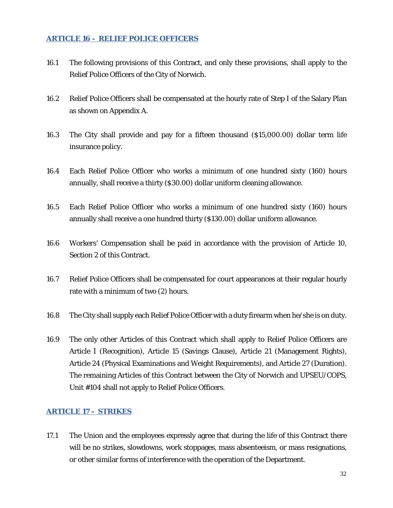#### <span id="page-31-0"></span>**ARTICLE 16 – RELIEF POLICE OFFICERS**

- 16.1 The following provisions of this Contract, and only these provisions, shall apply to the Relief Police Officers of the City of Norwich.
- 16.2 Relief Police Officers shall be compensated at the hourly rate of Step I of the Salary Plan as shown on Appendix A.
- 16.3 The City shall provide and pay for a fifteen thousand (\$15,000.00) dollar term life insurance policy.
- 16.4 Each Relief Police Officer who works a minimum of one hundred sixty (160) hours annually, shall receive a thirty (\$30.00) dollar uniform cleaning allowance.
- 16.5 Each Relief Police Officer who works a minimum of one hundred sixty (160) hours annually shall receive a one hundred thirty (\$130.00) dollar uniform allowance.
- 16.6 Workers' Compensation shall be paid in accordance with the provision of Article 10, Section 2 of this Contract.
- 16.7 Relief Police Officers shall be compensated for court appearances at their regular hourly rate with a minimum of two (2) hours.
- 16.8 The City shall supply each Relief Police Officer with a duty firearm when he/she is on duty.
- 16.9 The only other Articles of this Contract which shall apply to Relief Police Officers are Article I (Recognition), Article 15 (Savings Clause), Article 21 (Management Rights), Article 24 (Physical Examinations and Weight Requirements), and Article 27 (Duration). The remaining Articles of this Contract between the City of Norwich and UPSEU/COPS, Unit #104 shall not apply to Relief Police Officers.

#### <span id="page-31-1"></span>**ARTICLE 17 – STRIKES**

17.1 The Union and the employees expressly agree that during the life of this Contract there will be no strikes, slowdowns, work stoppages, mass absenteeism, or mass resignations, or other similar forms of interference with the operation of the Department.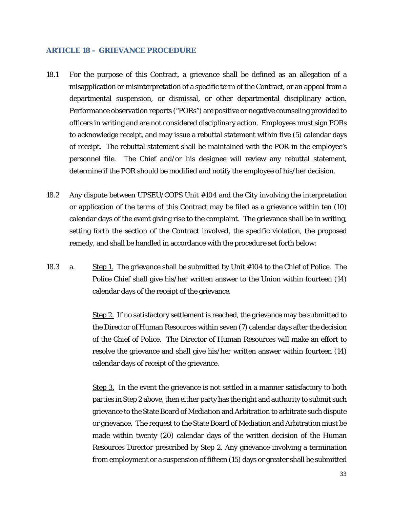#### <span id="page-32-0"></span>**ARTICLE 18 – GRIEVANCE PROCEDURE**

- 18.1 For the purpose of this Contract, a grievance shall be defined as an allegation of a misapplication or misinterpretation of a specific term of the Contract, or an appeal from a departmental suspension, or dismissal, or other departmental disciplinary action. Performance observation reports ("PORs") are positive or negative counseling provided to officers in writing and are not considered disciplinary action. Employees must sign PORs to acknowledge receipt, and may issue a rebuttal statement within five (5) calendar days of receipt. The rebuttal statement shall be maintained with the POR in the employee's personnel file. The Chief and/or his designee will review any rebuttal statement, determine if the POR should be modified and notify the employee of his/her decision.
- 18.2 Any dispute between UPSEU/COPS Unit #104 and the City involving the interpretation or application of the terms of this Contract may be filed as a grievance within ten (10) calendar days of the event giving rise to the complaint. The grievance shall be in writing, setting forth the section of the Contract involved, the specific violation, the proposed remedy, and shall be handled in accordance with the procedure set forth below:
- 18.3 a. Step 1. The grievance shall be submitted by Unit #104 to the Chief of Police. The Police Chief shall give his/her written answer to the Union within fourteen (14) calendar days of the receipt of the grievance.

Step 2. If no satisfactory settlement is reached, the grievance may be submitted to the Director of Human Resources within seven (7) calendar days after the decision of the Chief of Police. The Director of Human Resources will make an effort to resolve the grievance and shall give his/her written answer within fourteen (14) calendar days of receipt of the grievance.

Step 3. In the event the grievance is not settled in a manner satisfactory to both parties in Step 2 above, then either party has the right and authority to submit such grievance to the State Board of Mediation and Arbitration to arbitrate such dispute or grievance. The request to the State Board of Mediation and Arbitration must be made within twenty (20) calendar days of the written decision of the Human Resources Director prescribed by Step 2. Any grievance involving a termination from employment or a suspension of fifteen (15) days or greater shall be submitted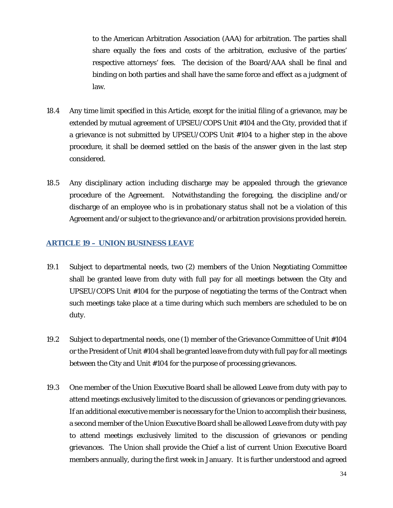to the American Arbitration Association (AAA) for arbitration. The parties shall share equally the fees and costs of the arbitration, exclusive of the parties' respective attorneys' fees. The decision of the Board/AAA shall be final and binding on both parties and shall have the same force and effect as a judgment of law.

- 18.4 Any time limit specified in this Article, except for the initial filing of a grievance, may be extended by mutual agreement of UPSEU/COPS Unit #104 and the City, provided that if a grievance is not submitted by UPSEU/COPS Unit #104 to a higher step in the above procedure, it shall be deemed settled on the basis of the answer given in the last step considered.
- 18.5 Any disciplinary action including discharge may be appealed through the grievance procedure of the Agreement. Notwithstanding the foregoing, the discipline and/or discharge of an employee who is in probationary status shall not be a violation of this Agreement and/or subject to the grievance and/or arbitration provisions provided herein.

#### <span id="page-33-0"></span>**ARTICLE 19 – UNION BUSINESS LEAVE**

- 19.1 Subject to departmental needs, two (2) members of the Union Negotiating Committee shall be granted leave from duty with full pay for all meetings between the City and UPSEU/COPS Unit #104 for the purpose of negotiating the terms of the Contract when such meetings take place at a time during which such members are scheduled to be on duty.
- 19.2 Subject to departmental needs, one (1) member of the Grievance Committee of Unit #104 or the President of Unit #104 shall be granted leave from duty with full pay for all meetings between the City and Unit #104 for the purpose of processing grievances.
- 19.3 One member of the Union Executive Board shall be allowed Leave from duty with pay to attend meetings exclusively limited to the discussion of grievances or pending grievances. If an additional executive member is necessary for the Union to accomplish their business, a second member of the Union Executive Board shall be allowed Leave from duty with pay to attend meetings exclusively limited to the discussion of grievances or pending grievances. The Union shall provide the Chief a list of current Union Executive Board members annually, during the first week in January. It is further understood and agreed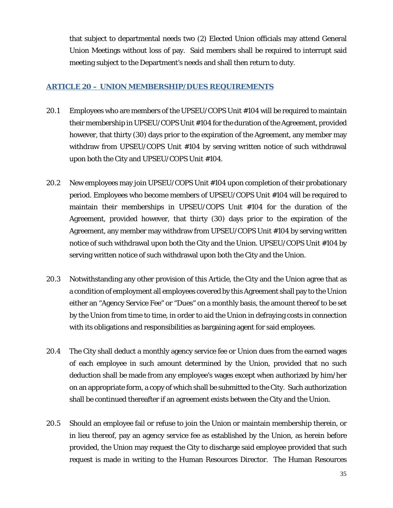that subject to departmental needs two (2) Elected Union officials may attend General Union Meetings without loss of pay. Said members shall be required to interrupt said meeting subject to the Department's needs and shall then return to duty.

#### <span id="page-34-0"></span>**ARTICLE 20 – UNION MEMBERSHIP/DUES REQUIREMENTS**

- 20.1 Employees who are members of the UPSEU/COPS Unit #104 will be required to maintain their membership in UPSEU/COPS Unit #104 for the duration of the Agreement, provided however, that thirty (30) days prior to the expiration of the Agreement, any member may withdraw from UPSEU/COPS Unit #104 by serving written notice of such withdrawal upon both the City and UPSEU/COPS Unit #104.
- 20.2 New employees may join UPSEU/COPS Unit #104 upon completion of their probationary period. Employees who become members of UPSEU/COPS Unit #104 will be required to maintain their memberships in UPSEU/COPS Unit #104 for the duration of the Agreement, provided however, that thirty (30) days prior to the expiration of the Agreement, any member may withdraw from UPSEU/COPS Unit #104 by serving written notice of such withdrawal upon both the City and the Union. UPSEU/COPS Unit #104 by serving written notice of such withdrawal upon both the City and the Union.
- 20.3 Notwithstanding any other provision of this Article, the City and the Union agree that as a condition of employment all employees covered by this Agreement shall pay to the Union either an "Agency Service Fee" or "Dues" on a monthly basis, the amount thereof to be set by the Union from time to time, in order to aid the Union in defraying costs in connection with its obligations and responsibilities as bargaining agent for said employees.
- 20.4 The City shall deduct a monthly agency service fee or Union dues from the earned wages of each employee in such amount determined by the Union, provided that no such deduction shall be made from any employee's wages except when authorized by him/her on an appropriate form, a copy of which shall be submitted to the City. Such authorization shall be continued thereafter if an agreement exists between the City and the Union.
- 20.5 Should an employee fail or refuse to join the Union or maintain membership therein, or in lieu thereof, pay an agency service fee as established by the Union, as herein before provided, the Union may request the City to discharge said employee provided that such request is made in writing to the Human Resources Director. The Human Resources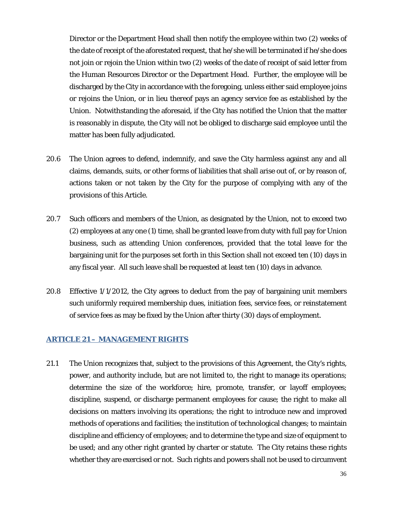Director or the Department Head shall then notify the employee within two (2) weeks of the date of receipt of the aforestated request, that he/she will be terminated if he/she does not join or rejoin the Union within two (2) weeks of the date of receipt of said letter from the Human Resources Director or the Department Head. Further, the employee will be discharged by the City in accordance with the foregoing, unless either said employee joins or rejoins the Union, or in lieu thereof pays an agency service fee as established by the Union. Notwithstanding the aforesaid, if the City has notified the Union that the matter is reasonably in dispute, the City will not be obliged to discharge said employee until the matter has been fully adjudicated.

- 20.6 The Union agrees to defend, indemnify, and save the City harmless against any and all claims, demands, suits, or other forms of liabilities that shall arise out of, or by reason of, actions taken or not taken by the City for the purpose of complying with any of the provisions of this Article.
- 20.7 Such officers and members of the Union, as designated by the Union, not to exceed two (2) employees at any one (1) time, shall be granted leave from duty with full pay for Union business, such as attending Union conferences, provided that the total leave for the bargaining unit for the purposes set forth in this Section shall not exceed ten (10) days in any fiscal year. All such leave shall be requested at least ten (10) days in advance.
- 20.8 Effective 1/1/2012, the City agrees to deduct from the pay of bargaining unit members such uniformly required membership dues, initiation fees, service fees, or reinstatement of service fees as may be fixed by the Union after thirty (30) days of employment.

#### <span id="page-35-0"></span>**ARTICLE 21 – MANAGEMENT RIGHTS**

21.1 The Union recognizes that, subject to the provisions of this Agreement, the City's rights, power, and authority include, but are not limited to, the right to manage its operations; determine the size of the workforce; hire, promote, transfer, or layoff employees; discipline, suspend, or discharge permanent employees for cause; the right to make all decisions on matters involving its operations; the right to introduce new and improved methods of operations and facilities; the institution of technological changes; to maintain discipline and efficiency of employees; and to determine the type and size of equipment to be used; and any other right granted by charter or statute. The City retains these rights whether they are exercised or not. Such rights and powers shall not be used to circumvent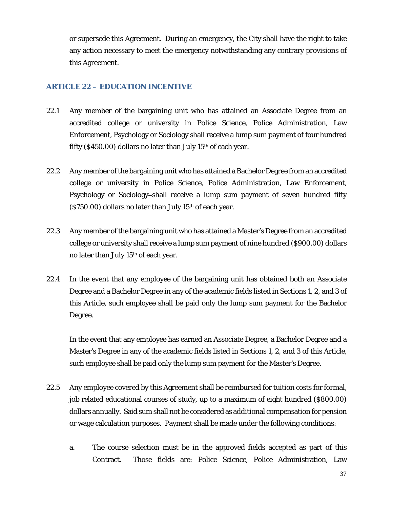or supersede this Agreement. During an emergency, the City shall have the right to take any action necessary to meet the emergency notwithstanding any contrary provisions of this Agreement.

# <span id="page-36-0"></span>**ARTICLE 22 – EDUCATION INCENTIVE**

- 22.1 Any member of the bargaining unit who has attained an Associate Degree from an accredited college or university in Police Science, Police Administration, Law Enforcement, Psychology or Sociology shall receive a lump sum payment of four hundred fifty (\$450.00) dollars no later than July  $15<sup>th</sup>$  of each year.
- 22.2 Any member of the bargaining unit who has attained a Bachelor Degree from an accredited college or university in Police Science, Police Administration, Law Enforcement, Psychology or Sociology shall receive a lump sum payment of seven hundred fifty  $($ \$750.00 $)$  dollars no later than July 15<sup>th</sup> of each year.
- 22.3 Any member of the bargaining unit who has attained a Master's Degree from an accredited college or university shall receive a lump sum payment of nine hundred (\$900.00) dollars no later than July 15th of each year.
- 22.4 In the event that any employee of the bargaining unit has obtained both an Associate Degree and a Bachelor Degree in any of the academic fields listed in Sections 1, 2, and 3 of this Article, such employee shall be paid only the lump sum payment for the Bachelor Degree.

In the event that any employee has earned an Associate Degree, a Bachelor Degree and a Master's Degree in any of the academic fields listed in Sections 1, 2, and 3 of this Article, such employee shall be paid only the lump sum payment for the Master's Degree.

- 22.5 Any employee covered by this Agreement shall be reimbursed for tuition costs for formal, job related educational courses of study, up to a maximum of eight hundred (\$800.00) dollars annually. Said sum shall not be considered as additional compensation for pension or wage calculation purposes. Payment shall be made under the following conditions:
	- a. The course selection must be in the approved fields accepted as part of this Contract. Those fields are: Police Science, Police Administration, Law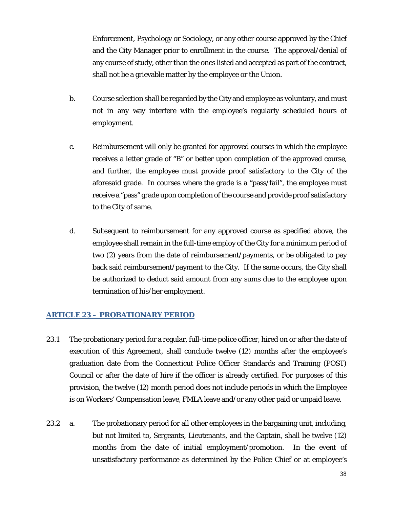Enforcement, Psychology or Sociology, or any other course approved by the Chief and the City Manager prior to enrollment in the course. The approval/denial of any course of study, other than the ones listed and accepted as part of the contract, shall not be a grievable matter by the employee or the Union.

- b. Course selection shall be regarded by the City and employee as voluntary, and must not in any way interfere with the employee's regularly scheduled hours of employment.
- c. Reimbursement will only be granted for approved courses in which the employee receives a letter grade of "B" or better upon completion of the approved course, and further, the employee must provide proof satisfactory to the City of the aforesaid grade. In courses where the grade is a "pass/fail", the employee must receive a "pass" grade upon completion of the course and provide proof satisfactory to the City of same.
- d. Subsequent to reimbursement for any approved course as specified above, the employee shall remain in the full-time employ of the City for a minimum period of two (2) years from the date of reimbursement/payments, or be obligated to pay back said reimbursement/payment to the City. If the same occurs, the City shall be authorized to deduct said amount from any sums due to the employee upon termination of his/her employment.

#### <span id="page-37-0"></span>**ARTICLE 23 – PROBATIONARY PERIOD**

- 23.1 The probationary period for a regular, full-time police officer, hired on or after the date of execution of this Agreement, shall conclude twelve (12) months after the employee's graduation date from the Connecticut Police Officer Standards and Training (POST) Council or after the date of hire if the officer is already certified. For purposes of this provision, the twelve (12) month period does not include periods in which the Employee is on Workers' Compensation leave, FMLA leave and/or any other paid or unpaid leave.
- 23.2 a. The probationary period for all other employees in the bargaining unit, including, but not limited to, Sergeants, Lieutenants, and the Captain, shall be twelve (12) months from the date of initial employment/promotion. In the event of unsatisfactory performance as determined by the Police Chief or at employee's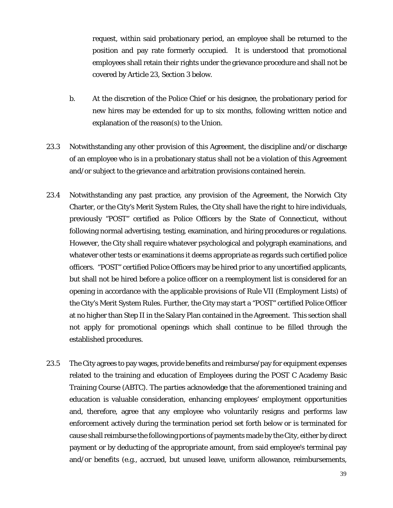request, within said probationary period, an employee shall be returned to the position and pay rate formerly occupied. It is understood that promotional employees shall retain their rights under the grievance procedure and shall not be covered by Article 23, Section 3 below.

- b. At the discretion of the Police Chief or his designee, the probationary period for new hires may be extended for up to six months, following written notice and explanation of the reason(s) to the Union.
- 23.3 Notwithstanding any other provision of this Agreement, the discipline and/or discharge of an employee who is in a probationary status shall not be a violation of this Agreement and/or subject to the grievance and arbitration provisions contained herein.
- 23.4 Notwithstanding any past practice, any provision of the Agreement, the Norwich City Charter, or the City's Merit System Rules, the City shall have the right to hire individuals, previously "POST" certified as Police Officers by the State of Connecticut, without following normal advertising, testing, examination, and hiring procedures or regulations. However, the City shall require whatever psychological and polygraph examinations, and whatever other tests or examinations it deems appropriate as regards such certified police officers. "POST" certified Police Officers may be hired prior to any uncertified applicants, but shall not be hired before a police officer on a reemployment list is considered for an opening in accordance with the applicable provisions of Rule VII (Employment Lists) of the City's Merit System Rules. Further, the City may start a "POST" certified Police Officer at no higher than Step II in the Salary Plan contained in the Agreement. This section shall not apply for promotional openings which shall continue to be filled through the established procedures.
- 23.5 The City agrees to pay wages, provide benefits and reimburse/pay for equipment expenses related to the training and education of Employees during the POST C Academy Basic Training Course (ABTC). The parties acknowledge that the aforementioned training and education is valuable consideration, enhancing employees' employment opportunities and, therefore, agree that any employee who voluntarily resigns and performs law enforcement actively during the termination period set forth below or is terminated for cause shall reimburse the following portions of payments made by the City, either by direct payment or by deducting of the appropriate amount, from said employee's terminal pay and/or benefits (e.g., accrued, but unused leave, uniform allowance, reimbursements,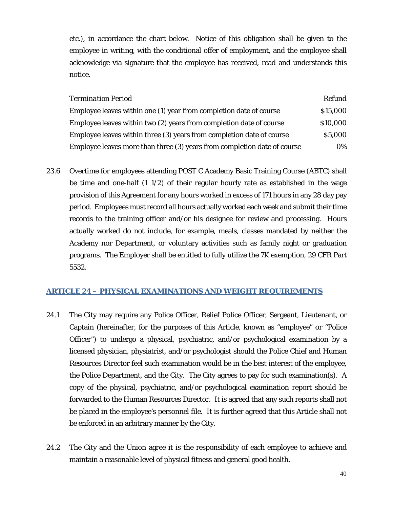etc.), in accordance the chart below. Notice of this obligation shall be given to the employee in writing, with the conditional offer of employment, and the employee shall acknowledge via signature that the employee has received, read and understands this notice.

| <b>Termination Period</b>                                                | <b>Refund</b> |
|--------------------------------------------------------------------------|---------------|
| Employee leaves within one (1) year from completion date of course       | \$15,000      |
| Employee leaves within two (2) years from completion date of course      | \$10,000      |
| Employee leaves within three (3) years from completion date of course    | \$5,000       |
| Employee leaves more than three (3) years from completion date of course | 0%            |

23.6 Overtime for employees attending POST C Academy Basic Training Course (ABTC) shall be time and one-half  $(1 1/2)$  of their regular hourly rate as established in the wage provision of this Agreement for any hours worked in excess of 171 hours in any 28 day pay period. Employees must record all hours actually worked each week and submit their time records to the training officer and/or his designee for review and processing. Hours actually worked do not include, for example, meals, classes mandated by neither the Academy nor Department, or voluntary activities such as family night or graduation programs. The Employer shall be entitled to fully utilize the 7K exemption, 29 CFR Part 5532.

#### <span id="page-39-0"></span>**ARTICLE 24 – PHYSICAL EXAMINATIONS AND WEIGHT REQUIREMENTS**

- 24.1 The City may require any Police Officer, Relief Police Officer, Sergeant, Lieutenant, or Captain (hereinafter, for the purposes of this Article, known as "employee" or "Police Officer") to undergo a physical, psychiatric, and/or psychological examination by a licensed physician, physiatrist, and/or psychologist should the Police Chief and Human Resources Director feel such examination would be in the best interest of the employee, the Police Department, and the City. The City agrees to pay for such examination(s). A copy of the physical, psychiatric, and/or psychological examination report should be forwarded to the Human Resources Director. It is agreed that any such reports shall not be placed in the employee's personnel file. It is further agreed that this Article shall not be enforced in an arbitrary manner by the City.
- 24.2 The City and the Union agree it is the responsibility of each employee to achieve and maintain a reasonable level of physical fitness and general good health.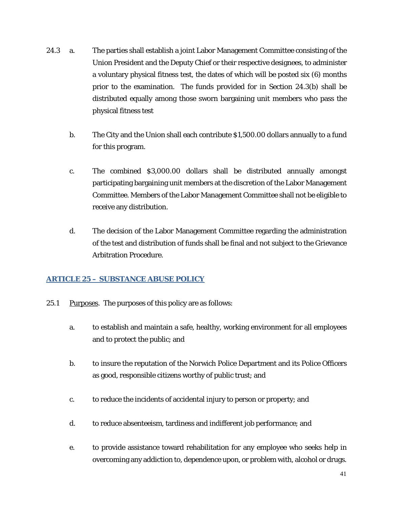- 24.3 a. The parties shall establish a joint Labor Management Committee consisting of the Union President and the Deputy Chief or their respective designees, to administer a voluntary physical fitness test, the dates of which will be posted six (6) months prior to the examination. The funds provided for in Section 24.3(b) shall be distributed equally among those sworn bargaining unit members who pass the physical fitness test
	- b. The City and the Union shall each contribute \$1,500.00 dollars annually to a fund for this program.
	- c. The combined \$3,000.00 dollars shall be distributed annually amongst participating bargaining unit members at the discretion of the Labor Management Committee. Members of the Labor Management Committee shall not be eligible to receive any distribution.
	- d. The decision of the Labor Management Committee regarding the administration of the test and distribution of funds shall be final and not subject to the Grievance Arbitration Procedure.

# <span id="page-40-0"></span>**ARTICLE 25 – SUBSTANCE ABUSE POLICY**

- 25.1 Purposes. The purposes of this policy are as follows:
	- a. to establish and maintain a safe, healthy, working environment for all employees and to protect the public; and
	- b. to insure the reputation of the Norwich Police Department and its Police Officers as good, responsible citizens worthy of public trust; and
	- c. to reduce the incidents of accidental injury to person or property; and
	- d. to reduce absenteeism, tardiness and indifferent job performance; and
	- e. to provide assistance toward rehabilitation for any employee who seeks help in overcoming any addiction to, dependence upon, or problem with, alcohol or drugs.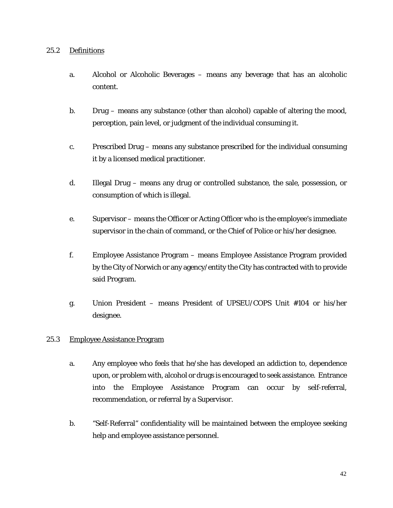#### 25.2 Definitions

- a. Alcohol or Alcoholic Beverages means any beverage that has an alcoholic content.
- b. Drug means any substance (other than alcohol) capable of altering the mood, perception, pain level, or judgment of the individual consuming it.
- c. Prescribed Drug means any substance prescribed for the individual consuming it by a licensed medical practitioner.
- d. Illegal Drug means any drug or controlled substance, the sale, possession, or consumption of which is illegal.
- e. Supervisor means the Officer or Acting Officer who is the employee's immediate supervisor in the chain of command, or the Chief of Police or his/her designee.
- f. Employee Assistance Program means Employee Assistance Program provided by the City of Norwich or any agency/entity the City has contracted with to provide said Program.
- g. Union President means President of UPSEU/COPS Unit #104 or his/her designee.

#### 25.3 Employee Assistance Program

- a. Any employee who feels that he/she has developed an addiction to, dependence upon, or problem with, alcohol or drugs is encouraged to seek assistance. Entrance into the Employee Assistance Program can occur by self-referral, recommendation, or referral by a Supervisor.
- b. "Self-Referral" confidentiality will be maintained between the employee seeking help and employee assistance personnel.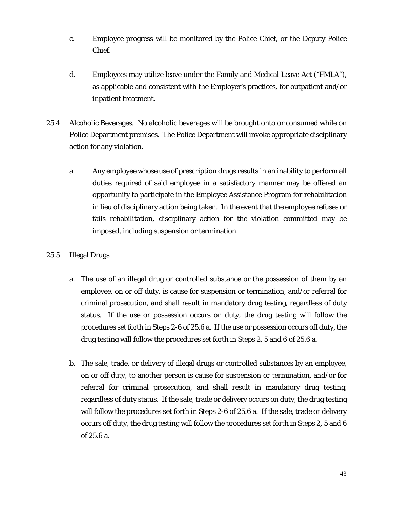- c. Employee progress will be monitored by the Police Chief, or the Deputy Police Chief.
- d. Employees may utilize leave under the Family and Medical Leave Act ("FMLA"), as applicable and consistent with the Employer's practices, for outpatient and/or inpatient treatment.
- 25.4 Alcoholic Beverages. No alcoholic beverages will be brought onto or consumed while on Police Department premises. The Police Department will invoke appropriate disciplinary action for any violation.
	- a. Any employee whose use of prescription drugs results in an inability to perform all duties required of said employee in a satisfactory manner may be offered an opportunity to participate in the Employee Assistance Program for rehabilitation in lieu of disciplinary action being taken. In the event that the employee refuses or fails rehabilitation, disciplinary action for the violation committed may be imposed, including suspension or termination.

#### 25.5 Illegal Drugs

- a. The use of an illegal drug or controlled substance or the possession of them by an employee, on or off duty, is cause for suspension or termination, and/or referral for criminal prosecution, and shall result in mandatory drug testing, regardless of duty status. If the use or possession occurs on duty, the drug testing will follow the procedures set forth in Steps 2-6 of 25.6 a. If the use or possession occurs off duty, the drug testing will follow the procedures set forth in Steps 2, 5 and 6 of 25.6 a.
- b. The sale, trade, or delivery of illegal drugs or controlled substances by an employee, on or off duty, to another person is cause for suspension or termination, and/or for referral for criminal prosecution, and shall result in mandatory drug testing, regardless of duty status. If the sale, trade or delivery occurs on duty, the drug testing will follow the procedures set forth in Steps 2-6 of 25.6 a. If the sale, trade or delivery occurs off duty, the drug testing will follow the procedures set forth in Steps 2, 5 and 6 of 25.6 a.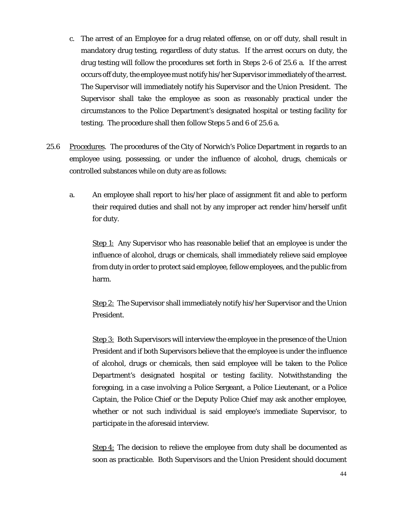- c. The arrest of an Employee for a drug related offense, on or off duty, shall result in mandatory drug testing, regardless of duty status. If the arrest occurs on duty, the drug testing will follow the procedures set forth in Steps 2-6 of 25.6 a. If the arrest occurs off duty, the employee must notify his/her Supervisor immediately of the arrest. The Supervisor will immediately notify his Supervisor and the Union President. The Supervisor shall take the employee as soon as reasonably practical under the circumstances to the Police Department's designated hospital or testing facility for testing. The procedure shall then follow Steps 5 and 6 of 25.6 a.
- 25.6 Procedures. The procedures of the City of Norwich's Police Department in regards to an employee using, possessing, or under the influence of alcohol, drugs, chemicals or controlled substances while on duty are as follows:
	- a. An employee shall report to his/her place of assignment fit and able to perform their required duties and shall not by any improper act render him/herself unfit for duty.

Step 1: Any Supervisor who has reasonable belief that an employee is under the influence of alcohol, drugs or chemicals, shall immediately relieve said employee from duty in order to protect said employee, fellow employees, and the public from harm.

Step 2: The Supervisor shall immediately notify his/her Supervisor and the Union President.

Step 3: Both Supervisors will interview the employee in the presence of the Union President and if both Supervisors believe that the employee is under the influence of alcohol, drugs or chemicals, then said employee will be taken to the Police Department's designated hospital or testing facility. Notwithstanding the foregoing, in a case involving a Police Sergeant, a Police Lieutenant, or a Police Captain, the Police Chief or the Deputy Police Chief may ask another employee, whether or not such individual is said employee's immediate Supervisor, to participate in the aforesaid interview.

Step 4: The decision to relieve the employee from duty shall be documented as soon as practicable. Both Supervisors and the Union President should document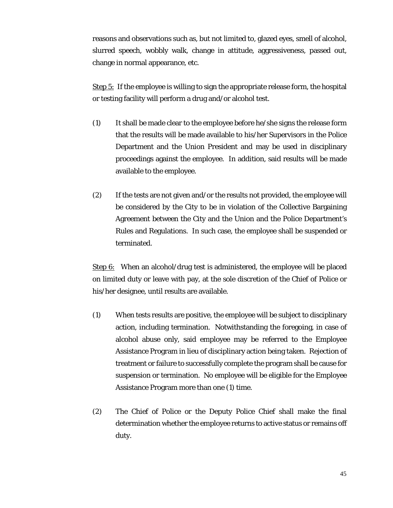reasons and observations such as, but not limited to, glazed eyes, smell of alcohol, slurred speech, wobbly walk, change in attitude, aggressiveness, passed out, change in normal appearance, etc.

Step 5: If the employee is willing to sign the appropriate release form, the hospital or testing facility will perform a drug and/or alcohol test.

- (1) It shall be made clear to the employee before he/she signs the release form that the results will be made available to his/her Supervisors in the Police Department and the Union President and may be used in disciplinary proceedings against the employee. In addition, said results will be made available to the employee.
- (2) If the tests are not given and/or the results not provided, the employee will be considered by the City to be in violation of the Collective Bargaining Agreement between the City and the Union and the Police Department's Rules and Regulations. In such case, the employee shall be suspended or terminated.

Step 6: When an alcohol/drug test is administered, the employee will be placed on limited duty or leave with pay, at the sole discretion of the Chief of Police or his/her designee, until results are available.

- (1) When tests results are positive, the employee will be subject to disciplinary action, including termination. Notwithstanding the foregoing, in case of alcohol abuse only, said employee may be referred to the Employee Assistance Program in lieu of disciplinary action being taken. Rejection of treatment or failure to successfully complete the program shall be cause for suspension or termination. No employee will be eligible for the Employee Assistance Program more than one (1) time.
- (2) The Chief of Police or the Deputy Police Chief shall make the final determination whether the employee returns to active status or remains off duty.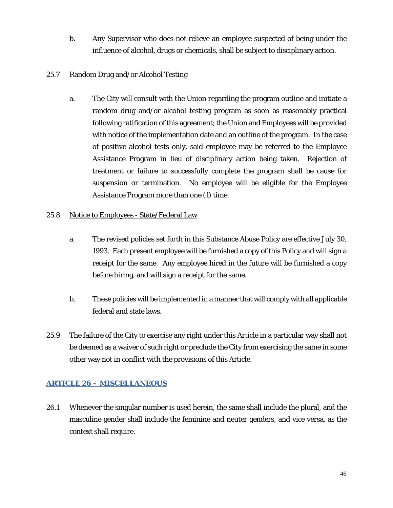b. Any Supervisor who does not relieve an employee suspected of being under the influence of alcohol, drugs or chemicals, shall be subject to disciplinary action.

#### 25.7 Random Drug and/or Alcohol Testing

a. The City will consult with the Union regarding the program outline and initiate a random drug and/or alcohol testing program as soon as reasonably practical following ratification of this agreement; the Union and Employees will be provided with notice of the implementation date and an outline of the program. In the case of positive alcohol tests only, said employee may be referred to the Employee Assistance Program in lieu of disciplinary action being taken. Rejection of treatment or failure to successfully complete the program shall be cause for suspension or termination. No employee will be eligible for the Employee Assistance Program more than one (1) time.

#### 25.8 Notice to Employees - State/Federal Law

- a. The revised policies set forth in this Substance Abuse Policy are effective July 30, 1993. Each present employee will be furnished a copy of this Policy and will sign a receipt for the same. Any employee hired in the future will be furnished a copy before hiring, and will sign a receipt for the same.
- b. These policies will be implemented in a manner that will comply with all applicable federal and state laws.
- 25.9 The failure of the City to exercise any right under this Article in a particular way shall not be deemed as a waiver of such right or preclude the City from exercising the same in some other way not in conflict with the provisions of this Article.

# <span id="page-45-0"></span>**ARTICLE 26 – MISCELLANEOUS**

26.1 Whenever the singular number is used herein, the same shall include the plural, and the masculine gender shall include the feminine and neuter genders, and vice versa, as the context shall require.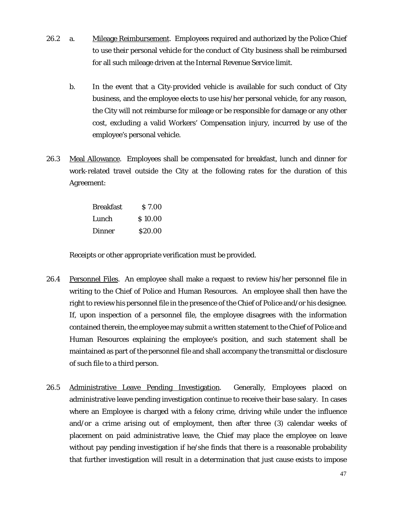- 26.2 a. Mileage Reimbursement. Employees required and authorized by the Police Chief to use their personal vehicle for the conduct of City business shall be reimbursed for all such mileage driven at the Internal Revenue Service limit.
	- b. In the event that a City-provided vehicle is available for such conduct of City business, and the employee elects to use his/her personal vehicle, for any reason, the City will not reimburse for mileage or be responsible for damage or any other cost, excluding a valid Workers' Compensation injury, incurred by use of the employee's personal vehicle.
- 26.3 Meal Allowance. Employees shall be compensated for breakfast, lunch and dinner for work-related travel outside the City at the following rates for the duration of this Agreement:

| <b>Breakfast</b> | \$7.00  |
|------------------|---------|
| Lunch            | \$10.00 |
| Dinner           | \$20.00 |

Receipts or other appropriate verification must be provided.

- 26.4 Personnel Files. An employee shall make a request to review his/her personnel file in writing to the Chief of Police and Human Resources. An employee shall then have the right to review his personnel file in the presence of the Chief of Police and/or his designee. If, upon inspection of a personnel file, the employee disagrees with the information contained therein, the employee may submit a written statement to the Chief of Police and Human Resources explaining the employee's position, and such statement shall be maintained as part of the personnel file and shall accompany the transmittal or disclosure of such file to a third person.
- 26.5 Administrative Leave Pending Investigation. Generally, Employees placed on administrative leave pending investigation continue to receive their base salary. In cases where an Employee is charged with a felony crime, driving while under the influence and/or a crime arising out of employment, then after three (3) calendar weeks of placement on paid administrative leave, the Chief may place the employee on leave without pay pending investigation if he/she finds that there is a reasonable probability that further investigation will result in a determination that just cause exists to impose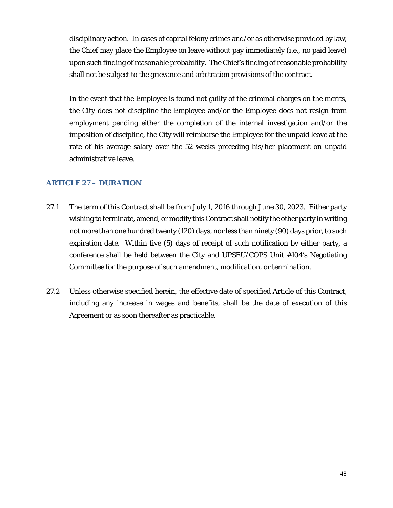disciplinary action. In cases of capitol felony crimes and/or as otherwise provided by law, the Chief may place the Employee on leave without pay immediately (i.e., no paid leave) upon such finding of reasonable probability. The Chief's finding of reasonable probability shall not be subject to the grievance and arbitration provisions of the contract.

In the event that the Employee is found not guilty of the criminal charges on the merits, the City does not discipline the Employee and/or the Employee does not resign from employment pending either the completion of the internal investigation and/or the imposition of discipline, the City will reimburse the Employee for the unpaid leave at the rate of his average salary over the 52 weeks preceding his/her placement on unpaid administrative leave.

#### <span id="page-47-0"></span>**ARTICLE 27 – DURATION**

- 27.1 The term of this Contract shall be from July 1, 2016 through June 30, 2023. Either party wishing to terminate, amend, or modify this Contract shall notify the other party in writing not more than one hundred twenty (120) days, nor less than ninety (90) days prior, to such expiration date. Within five (5) days of receipt of such notification by either party, a conference shall be held between the City and UPSEU/COPS Unit #104's Negotiating Committee for the purpose of such amendment, modification, or termination.
- 27.2 Unless otherwise specified herein, the effective date of specified Article of this Contract, including any increase in wages and benefits, shall be the date of execution of this Agreement or as soon thereafter as practicable.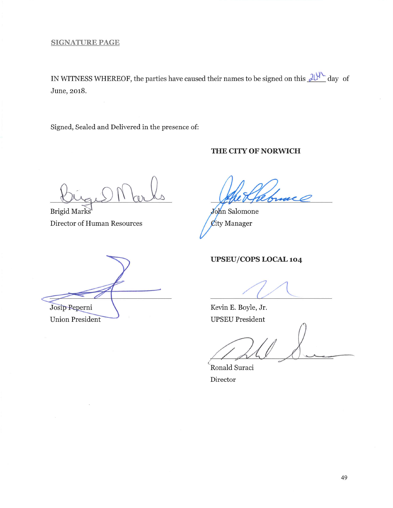IN WITNESS WHEREOF, the parties have caused their names to be signed on this  $\frac{\partial U^{\Lambda}}{\partial x}$  day of June, 2018.

Signed, Sealed and Delivered in the presence of:

#### THE CITY OF NORWICH

Brigid Marks Director of Human Resources

John Salomone City Manager

# UPSEU/COPS LOCAL 104

Josip Peperni **Union President** 

Kevin E. Boyle, Jr. **UPSEU President** 

Ronald Suraci Director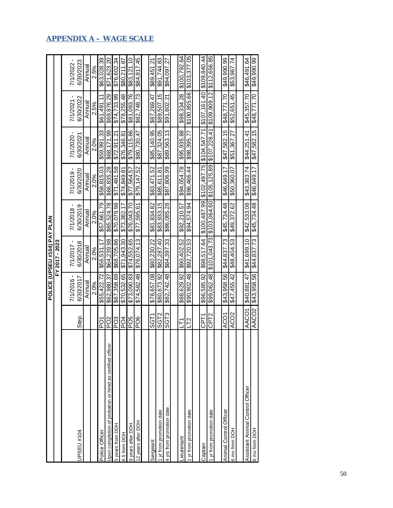|                                                            |                             |             | POLICE (UPSEU #104) PAY PLAN |              |              |                         |                       |              |
|------------------------------------------------------------|-----------------------------|-------------|------------------------------|--------------|--------------|-------------------------|-----------------------|--------------|
|                                                            |                             |             | FY 2017 - 2023               |              |              |                         |                       |              |
|                                                            |                             | 7/1/2016    | 7/1/2017                     | 7/1/2018     | 7/1/2019     |                         |                       | 7/1/2022 -   |
| PSEU #104                                                  | Step                        | 6/30/2017   | I<br>6/30/2018               | 6/30/2019    | 6/30/2020    | 7/1/2020 -<br>6/30/2021 | 6/30/2022<br>7/1/2021 | 6/30/2023    |
|                                                            |                             | Annual      | Annual                       | Annual       | Annual       | Annual                  | Annual                | Annual       |
|                                                            |                             | 2.0%        | 2.0%                         | 2.0%         | 2.0%         | 2.0%                    | 2.5%                  | 2.5%         |
| Police Officer                                             | <b>PO1</b>                  | \$55.422.72 | \$56.531.17                  | \$57,661.79  | \$58,815.03  | \$59.991.33             | \$61.491.11           | \$63,028.39  |
| Upon completion of probation or hired as certified officer | P <sub>O</sub> <sub>2</sub> | \$62,980.37 | \$64,239.98                  | \$65,524.78  | \$66,835.28  | \$68,171.99             | \$69.876.29           | \$71,623.20  |
| 5 years from DOH                                           | PO <sub>3</sub>             | \$67.358.69 | \$68.705.86                  | \$70.079.98  | \$71.481.58  | \$72.911.21             | \$74,733.99           | \$76.602.34  |
| 6.5 from DOH                                               | PO4                         | \$70,532.65 | \$71.943.30                  | \$73,382.17  | \$74,849.81  | \$76.346.81             | \$78.255.48           | \$80.211.87  |
| 9 years after DOH                                          | PO <sub>5</sub>             | \$73.090.83 | \$74.552.65                  | \$76,043.70  | \$77.564.57  | \$79.115.86             | \$81.093.76           | \$83.121.10  |
| 12 years after DOH                                         | PO6                         | \$74,582.48 | \$76,074.13                  | \$77,595.61  | \$79,147.52  | \$80,730.47             | \$82,748.73           | \$84,817.45  |
|                                                            |                             |             |                              |              |              |                         |                       |              |
| Sergeant                                                   | SGT1                        | \$78,657.08 | \$80.230.22                  | \$81.834.82  | \$83,471.52  | \$85,140.95             | \$87.269.47           | \$89,451.21  |
| 1 yr from promotion date                                   | SGT <sub>2</sub>            | \$80.673.92 | \$82.287.40                  | \$83,933.15  | \$85,611.81  | \$87.324.05             | \$89.507.15           | \$91.744.83  |
| 4 yrs from promotion date                                  | SGT3                        | \$82,742.48 | \$84,397.33                  | \$86,085.28  | \$87,806.99  | \$89,563.13             | \$91,802.21           | \$94,097.27  |
|                                                            |                             |             |                              |              |              |                         |                       |              |
| <b>Lieutenant</b>                                          | Ě                           | \$88,629.92 | \$90,402.52                  | \$92.210.57  | \$94.054.78  | \$95.935.88             | \$98.334.28           | \$100,792.64 |
| 1 yr from promotion date                                   | L2                          | \$90,902.48 | \$92,720.53                  | \$94,574.94  | \$96,466.44  | \$98,395.77             | \$100,855.66          | \$103,377.05 |
|                                                            |                             |             |                              |              |              |                         |                       |              |
| Captain                                                    | ۲Tم<br>C                    | \$96,585.92 | \$98,517.64                  | \$100,487.99 | \$102,497.75 | \$104,547.71            | \$107,161.40          | \$109,840.44 |
| 1 yr from promotion date                                   | CPT2                        | \$99,062.48 | \$101.043.73                 | \$103,064.60 | \$105,125.89 | \$107,228.41            | \$109,909.12          | \$112.656.85 |
|                                                            |                             |             |                              |              |              |                         |                       |              |
| Animal Control Officer                                     | <b>ACO1</b>                 | \$43.958.56 | \$44,837.73                  | \$45.734.48  | \$46.649.17  | \$47.582.15             | \$48.771.70           | \$49,990.99  |
| 6 mo from DOH                                              | ACO2                        | \$47,455.42 | \$48,404.53                  | \$49,372.62  | \$50,360.07  | \$51,367.27             | \$52,651.45           | \$53,967.74  |
|                                                            |                             |             |                              |              |              |                         |                       |              |
| Assistant Animal Control Officer                           | AACO1                       | \$40,881.47 | \$41,699.10                  | \$42,533.08  | \$43,383.74  | \$44,251.41             | \$45,357.70           | \$46,491.64  |
| 6 mo from DOH                                              | AACO <sub>2</sub>           | \$43,958.56 | \$44,837.73                  | \$45,734.48  | \$46.649.17  | \$47,582.15             | \$48,771.70           | \$49,990.99  |
|                                                            |                             |             |                              |              |              |                         |                       |              |

# <span id="page-49-0"></span>**APPENDIX A – WAGE SCALE**